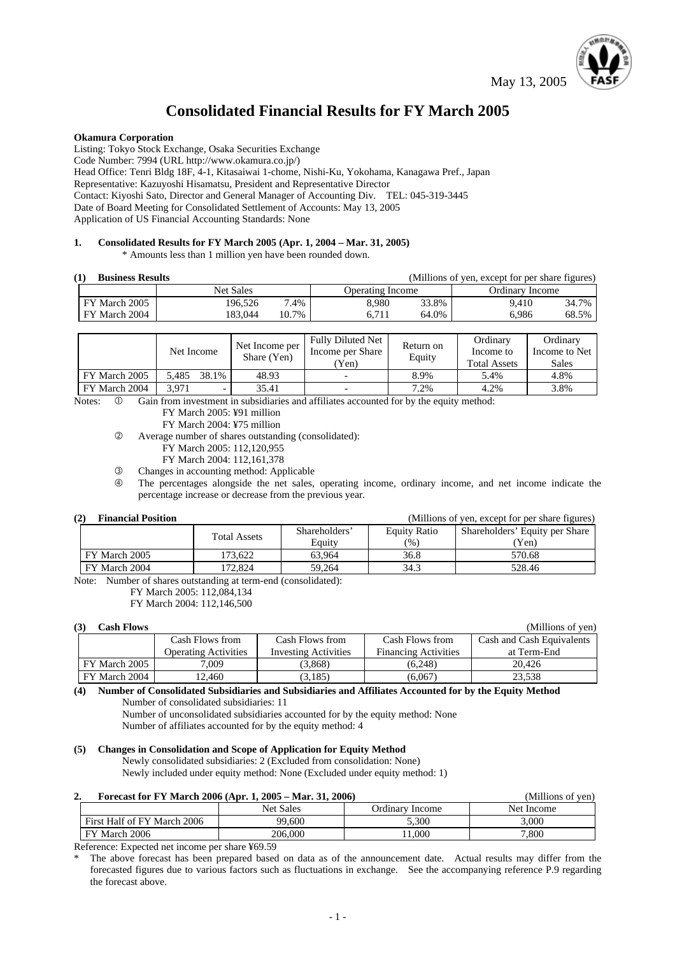May 13, 2005



# **Consolidated Financial Results for FY March 2005**

#### **Okamura Corporation**

Listing: Tokyo Stock Exchange, Osaka Securities Exchange Code Number: 7994 (URL http://www.okamura.co.jp/) Head Office: Tenri Bldg 18F, 4-1, Kitasaiwai 1-chome, Nishi-Ku, Yokohama, Kanagawa Pref., Japan Representative: Kazuyoshi Hisamatsu, President and Representative Director Contact: Kiyoshi Sato, Director and General Manager of Accounting Div. TEL: 045-319-3445 Date of Board Meeting for Consolidated Settlement of Accounts: May 13, 2005 Application of US Financial Accounting Standards: None

# **1. Consolidated Results for FY March 2005 (Apr. 1, 2004 – Mar. 31, 2005)**

\* Amounts less than 1 million yen have been rounded down.

| <b>Business Results</b> |               |                  |       | (Millions of yen, except for per share figures) |       |                 |       |
|-------------------------|---------------|------------------|-------|-------------------------------------------------|-------|-----------------|-------|
|                         |               | <b>Net Sales</b> |       | <b>Operating Income</b>                         |       | Ordinary Income |       |
|                         | FY March 2005 | 196.526          | 7.4%  | 8.980                                           | 33.8% | 9.410           | 34.7% |
|                         | FY March 2004 | 183.044          | 10.7% | 6.711                                           | 64.0% | 6.986           | 68.5% |

|               | Net Income     | Net Income per<br>Share (Yen) | <b>Fully Diluted Net</b><br>Income per Share<br>'Yen) | Return on<br>Equity | Ordinary<br>Income to<br><b>Total Assets</b> | Ordinary<br>Income to Net<br>Sales |
|---------------|----------------|-------------------------------|-------------------------------------------------------|---------------------|----------------------------------------------|------------------------------------|
| FY March 2005 | 38.1%<br>5.485 | 48.93                         |                                                       | 8.9%                | 5.4%                                         | 4.8%                               |
| FY March 2004 | 3.971<br>-     | 35.41                         |                                                       | 7.2%                | 4.2%                                         | 3.8%                               |

Notes:  $\circled{0}$  Gain from investment in subsidiaries and affiliates accounted for by the equity method:

FY March 2005: ¥91 million

FY March 2004: ¥75 million

d Average number of shares outstanding (consolidated):

- FY March 2005: 112,120,955
- FY March 2004: 112,161,378

e Changes in accounting method: Applicable

f The percentages alongside the net sales, operating income, ordinary income, and net income indicate the percentage increase or decrease from the previous year.

#### (2) Financial Position

|  |  |  | (Millions of yen, except for per share figures) |
|--|--|--|-------------------------------------------------|
|--|--|--|-------------------------------------------------|

|               | <b>Total Assets</b> | Shareholders' | <b>Equity Ratio</b> | Shareholders' Equity per Share |
|---------------|---------------------|---------------|---------------------|--------------------------------|
|               |                     | Equity        | $\frac{1}{2}$       | (Yen)                          |
| FY March 2005 | 173.622             | 63.964        | 36.8                | 570.68                         |
| FY March 2004 | 72.824              | 59.264        | 34.3                | 528.46                         |
|               |                     |               |                     |                                |

Note: Number of shares outstanding at term-end (consolidated):

FY March 2005: 112,084,134

FY March 2004: 112,146,500

| (3)<br>Cash Flows |                             |                             |                             | (Millions of yen)         |
|-------------------|-----------------------------|-----------------------------|-----------------------------|---------------------------|
|                   | Cash Flows from             | Cash Flows from             | Cash Flows from             | Cash and Cash Equivalents |
|                   | <b>Operating Activities</b> | <b>Investing Activities</b> | <b>Financing Activities</b> | at Term-End               |
| FY March 2005     | .009                        | (3.868)                     | (6.248)                     | 20.426                    |
| FY March 2004     | 12.460                      | (3,185)                     | (6,067)                     | 23,538                    |

**(4) Number of Consolidated Subsidiaries and Subsidiaries and Affiliates Accounted for by the Equity Method**  Number of consolidated subsidiaries: 11

Number of unconsolidated subsidiaries accounted for by the equity method: None Number of affiliates accounted for by the equity method: 4

#### **(5) Changes in Consolidation and Scope of Application for Equity Method**

Newly consolidated subsidiaries: 2 (Excluded from consolidation: None) Newly included under equity method: None (Excluded under equity method: 1)

#### **2. Forecast for FY March 2006 (Apr. 1, 2005 – Mar. 31, 2006)** (Millions of yen)

| .                           |           |                    |            |
|-----------------------------|-----------|--------------------|------------|
|                             | Net Sales | Jrdınarv<br>Income | Net Income |
| First Half of FY March 2006 | 99,600    | 5.300              | 3,000      |
| FY March 2006               | 206,000   | 1.000              | 7,800      |

Reference: Expected net income per share ¥69.59

The above forecast has been prepared based on data as of the announcement date. Actual results may differ from the forecasted figures due to various factors such as fluctuations in exchange. See the accompanying reference P.9 regarding the forecast above.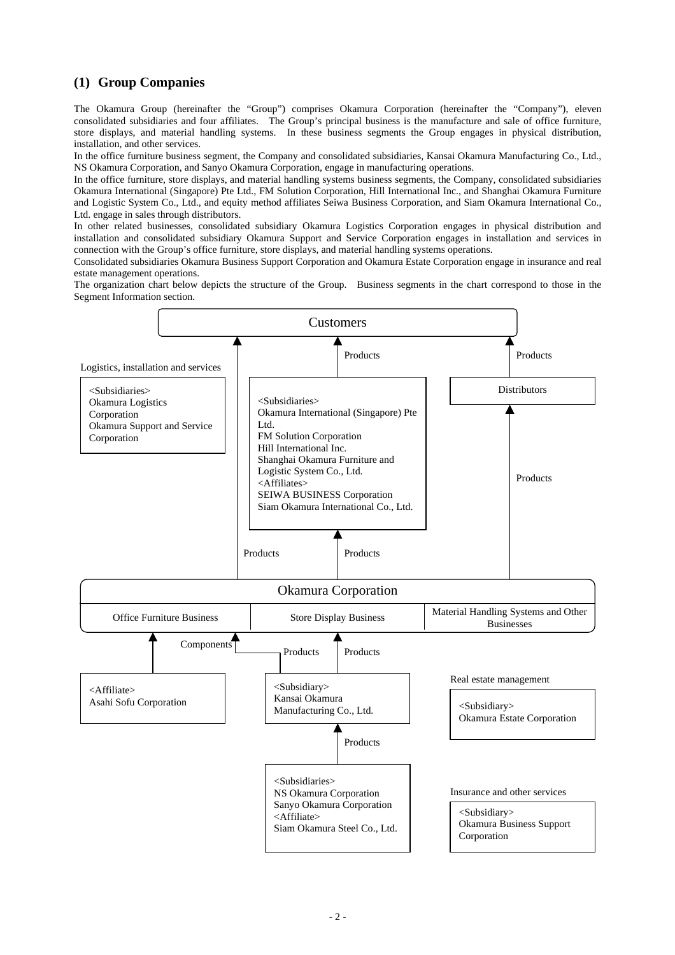# **(1) Group Companies**

The Okamura Group (hereinafter the "Group") comprises Okamura Corporation (hereinafter the "Company"), eleven consolidated subsidiaries and four affiliates. The Group's principal business is the manufacture and sale of office furniture, store displays, and material handling systems. In these business segments the Group engages in physical distribution, installation, and other services.

In the office furniture business segment, the Company and consolidated subsidiaries, Kansai Okamura Manufacturing Co., Ltd., NS Okamura Corporation, and Sanyo Okamura Corporation, engage in manufacturing operations.

In the office furniture, store displays, and material handling systems business segments, the Company, consolidated subsidiaries Okamura International (Singapore) Pte Ltd., FM Solution Corporation, Hill International Inc., and Shanghai Okamura Furniture and Logistic System Co., Ltd., and equity method affiliates Seiwa Business Corporation, and Siam Okamura International Co., Ltd. engage in sales through distributors.

In other related businesses, consolidated subsidiary Okamura Logistics Corporation engages in physical distribution and installation and consolidated subsidiary Okamura Support and Service Corporation engages in installation and services in connection with the Group's office furniture, store displays, and material handling systems operations.

Consolidated subsidiaries Okamura Business Support Corporation and Okamura Estate Corporation engage in insurance and real estate management operations.

The organization chart below depicts the structure of the Group. Business segments in the chart correspond to those in the Segment Information section.

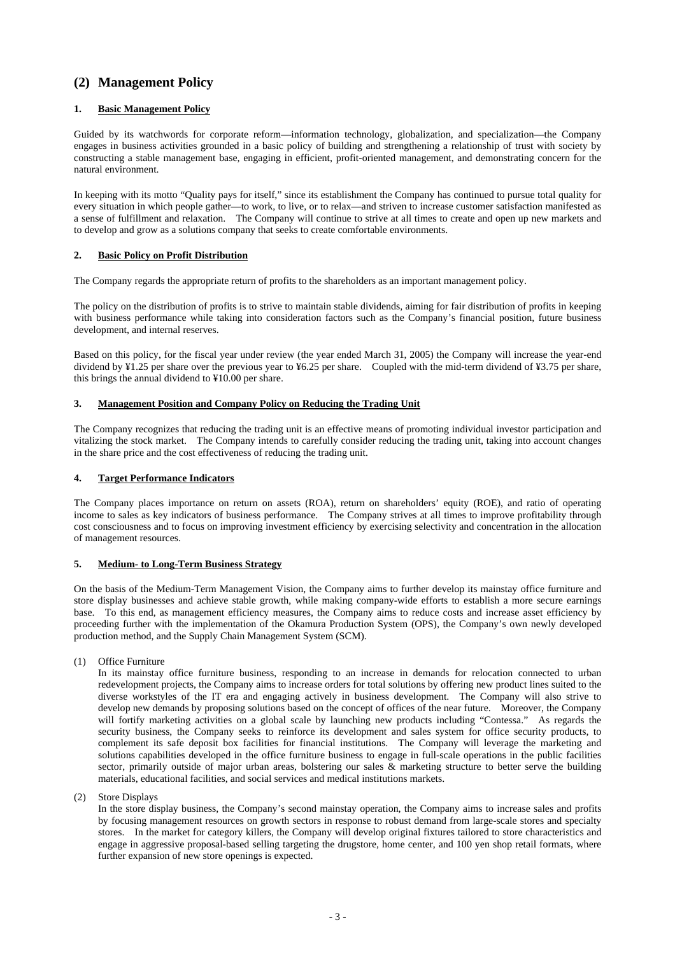# **(2) Management Policy**

### **1. Basic Management Policy**

Guided by its watchwords for corporate reform—information technology, globalization, and specialization—the Company engages in business activities grounded in a basic policy of building and strengthening a relationship of trust with society by constructing a stable management base, engaging in efficient, profit-oriented management, and demonstrating concern for the natural environment.

In keeping with its motto "Quality pays for itself," since its establishment the Company has continued to pursue total quality for every situation in which people gather—to work, to live, or to relax—and striven to increase customer satisfaction manifested as a sense of fulfillment and relaxation. The Company will continue to strive at all times to create and open up new markets and to develop and grow as a solutions company that seeks to create comfortable environments.

### **2. Basic Policy on Profit Distribution**

The Company regards the appropriate return of profits to the shareholders as an important management policy.

The policy on the distribution of profits is to strive to maintain stable dividends, aiming for fair distribution of profits in keeping with business performance while taking into consideration factors such as the Company's financial position, future business development, and internal reserves.

Based on this policy, for the fiscal year under review (the year ended March 31, 2005) the Company will increase the year-end dividend by ¥1.25 per share over the previous year to ¥6.25 per share. Coupled with the mid-term dividend of ¥3.75 per share, this brings the annual dividend to ¥10.00 per share.

#### **3. Management Position and Company Policy on Reducing the Trading Unit**

The Company recognizes that reducing the trading unit is an effective means of promoting individual investor participation and vitalizing the stock market. The Company intends to carefully consider reducing the trading unit, taking into account changes in the share price and the cost effectiveness of reducing the trading unit.

### **4. Target Performance Indicators**

The Company places importance on return on assets (ROA), return on shareholders' equity (ROE), and ratio of operating income to sales as key indicators of business performance. The Company strives at all times to improve profitability through cost consciousness and to focus on improving investment efficiency by exercising selectivity and concentration in the allocation of management resources.

### **5. Medium- to Long-Term Business Strategy**

On the basis of the Medium-Term Management Vision, the Company aims to further develop its mainstay office furniture and store display businesses and achieve stable growth, while making company-wide efforts to establish a more secure earnings base. To this end, as management efficiency measures, the Company aims to reduce costs and increase asset efficiency by proceeding further with the implementation of the Okamura Production System (OPS), the Company's own newly developed production method, and the Supply Chain Management System (SCM).

(1) Office Furniture

In its mainstay office furniture business, responding to an increase in demands for relocation connected to urban redevelopment projects, the Company aims to increase orders for total solutions by offering new product lines suited to the diverse workstyles of the IT era and engaging actively in business development. The Company will also strive to develop new demands by proposing solutions based on the concept of offices of the near future. Moreover, the Company will fortify marketing activities on a global scale by launching new products including "Contessa." As regards the security business, the Company seeks to reinforce its development and sales system for office security products, to complement its safe deposit box facilities for financial institutions. The Company will leverage the marketing and solutions capabilities developed in the office furniture business to engage in full-scale operations in the public facilities sector, primarily outside of major urban areas, bolstering our sales & marketing structure to better serve the building materials, educational facilities, and social services and medical institutions markets.

(2) Store Displays

In the store display business, the Company's second mainstay operation, the Company aims to increase sales and profits by focusing management resources on growth sectors in response to robust demand from large-scale stores and specialty stores. In the market for category killers, the Company will develop original fixtures tailored to store characteristics and engage in aggressive proposal-based selling targeting the drugstore, home center, and 100 yen shop retail formats, where further expansion of new store openings is expected.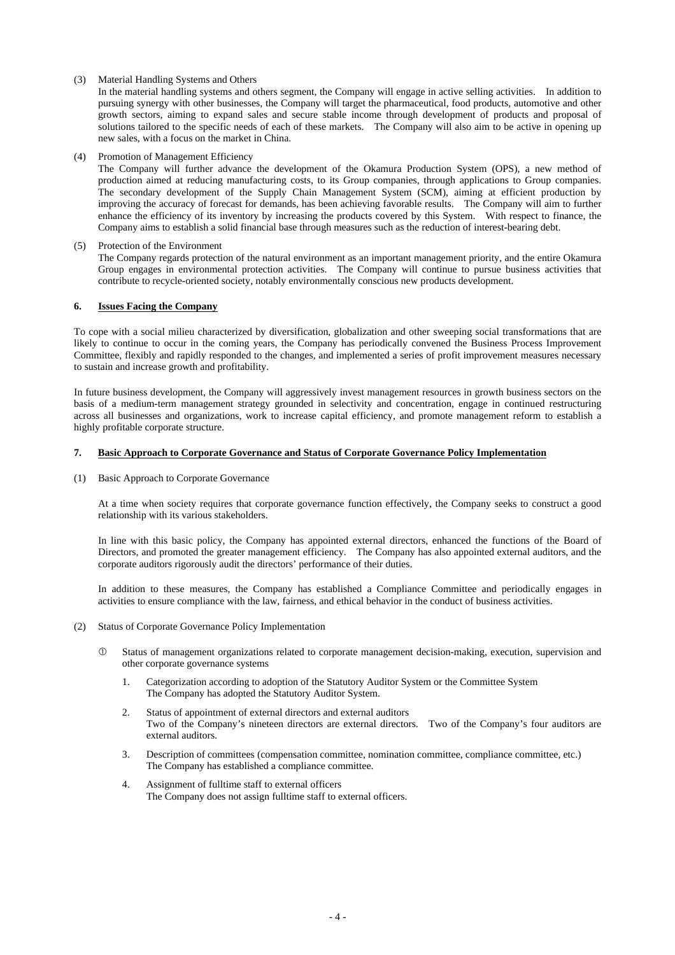#### (3) Material Handling Systems and Others

In the material handling systems and others segment, the Company will engage in active selling activities. In addition to pursuing synergy with other businesses, the Company will target the pharmaceutical, food products, automotive and other growth sectors, aiming to expand sales and secure stable income through development of products and proposal of solutions tailored to the specific needs of each of these markets. The Company will also aim to be active in opening up new sales, with a focus on the market in China.

#### (4) Promotion of Management Efficiency

The Company will further advance the development of the Okamura Production System (OPS), a new method of production aimed at reducing manufacturing costs, to its Group companies, through applications to Group companies. The secondary development of the Supply Chain Management System (SCM), aiming at efficient production by improving the accuracy of forecast for demands, has been achieving favorable results. The Company will aim to further enhance the efficiency of its inventory by increasing the products covered by this System. With respect to finance, the Company aims to establish a solid financial base through measures such as the reduction of interest-bearing debt.

#### (5) Protection of the Environment

The Company regards protection of the natural environment as an important management priority, and the entire Okamura Group engages in environmental protection activities. The Company will continue to pursue business activities that contribute to recycle-oriented society, notably environmentally conscious new products development.

#### **6. Issues Facing the Company**

To cope with a social milieu characterized by diversification, globalization and other sweeping social transformations that are likely to continue to occur in the coming years, the Company has periodically convened the Business Process Improvement Committee, flexibly and rapidly responded to the changes, and implemented a series of profit improvement measures necessary to sustain and increase growth and profitability.

In future business development, the Company will aggressively invest management resources in growth business sectors on the basis of a medium-term management strategy grounded in selectivity and concentration, engage in continued restructuring across all businesses and organizations, work to increase capital efficiency, and promote management reform to establish a highly profitable corporate structure.

#### **7. Basic Approach to Corporate Governance and Status of Corporate Governance Policy Implementation**

(1) Basic Approach to Corporate Governance

At a time when society requires that corporate governance function effectively, the Company seeks to construct a good relationship with its various stakeholders.

In line with this basic policy, the Company has appointed external directors, enhanced the functions of the Board of Directors, and promoted the greater management efficiency. The Company has also appointed external auditors, and the corporate auditors rigorously audit the directors' performance of their duties.

In addition to these measures, the Company has established a Compliance Committee and periodically engages in activities to ensure compliance with the law, fairness, and ethical behavior in the conduct of business activities.

#### (2) Status of Corporate Governance Policy Implementation

- c Status of management organizations related to corporate management decision-making, execution, supervision and other corporate governance systems
	- 1. Categorization according to adoption of the Statutory Auditor System or the Committee System The Company has adopted the Statutory Auditor System.
	- 2. Status of appointment of external directors and external auditors Two of the Company's nineteen directors are external directors. Two of the Company's four auditors are external auditors.
	- 3. Description of committees (compensation committee, nomination committee, compliance committee, etc.) The Company has established a compliance committee.
	- 4. Assignment of fulltime staff to external officers The Company does not assign fulltime staff to external officers.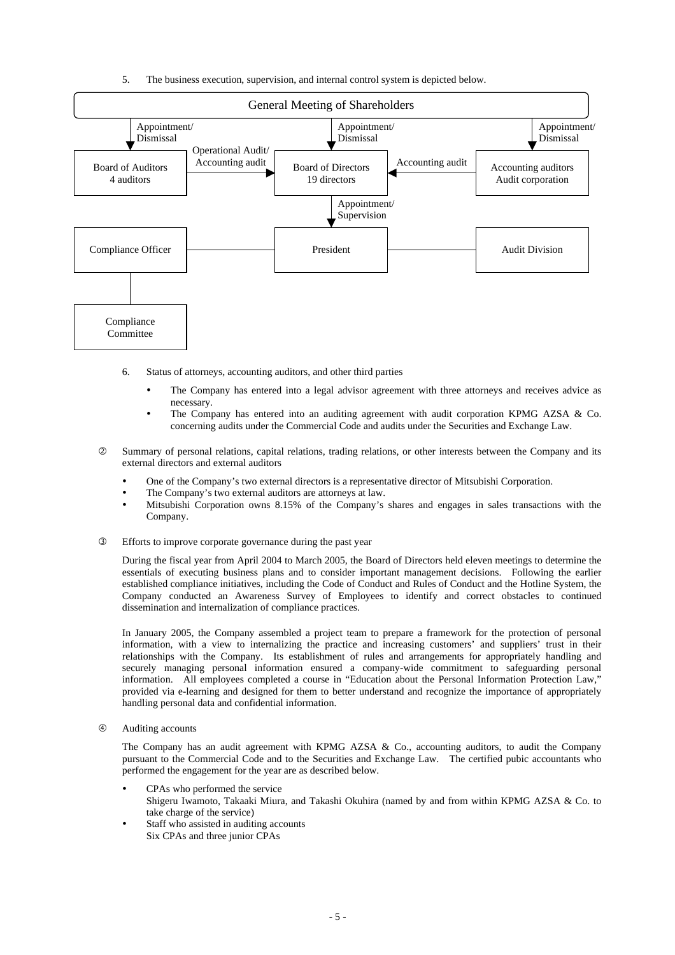5. The business execution, supervision, and internal control system is depicted below.



- 6. Status of attorneys, accounting auditors, and other third parties
	- The Company has entered into a legal advisor agreement with three attorneys and receives advice as necessary.
	- The Company has entered into an auditing agreement with audit corporation KPMG AZSA  $& Co.$ concerning audits under the Commercial Code and audits under the Securities and Exchange Law.
- d Summary of personal relations, capital relations, trading relations, or other interests between the Company and its external directors and external auditors
	- One of the Company's two external directors is a representative director of Mitsubishi Corporation.
	- The Company's two external auditors are attorneys at law.
	- Mitsubishi Corporation owns 8.15% of the Company's shares and engages in sales transactions with the Company.
- e Efforts to improve corporate governance during the past year

During the fiscal year from April 2004 to March 2005, the Board of Directors held eleven meetings to determine the essentials of executing business plans and to consider important management decisions. Following the earlier established compliance initiatives, including the Code of Conduct and Rules of Conduct and the Hotline System, the Company conducted an Awareness Survey of Employees to identify and correct obstacles to continued dissemination and internalization of compliance practices.

In January 2005, the Company assembled a project team to prepare a framework for the protection of personal information, with a view to internalizing the practice and increasing customers' and suppliers' trust in their relationships with the Company. Its establishment of rules and arrangements for appropriately handling and securely managing personal information ensured a company-wide commitment to safeguarding personal information. All employees completed a course in "Education about the Personal Information Protection Law," provided via e-learning and designed for them to better understand and recognize the importance of appropriately handling personal data and confidential information.

**4** Auditing accounts

The Company has an audit agreement with KPMG AZSA & Co., accounting auditors, to audit the Company pursuant to the Commercial Code and to the Securities and Exchange Law. The certified pubic accountants who performed the engagement for the year are as described below.

- CPAs who performed the service Shigeru Iwamoto, Takaaki Miura, and Takashi Okuhira (named by and from within KPMG AZSA & Co. to take charge of the service)
- Staff who assisted in auditing accounts Six CPAs and three junior CPAs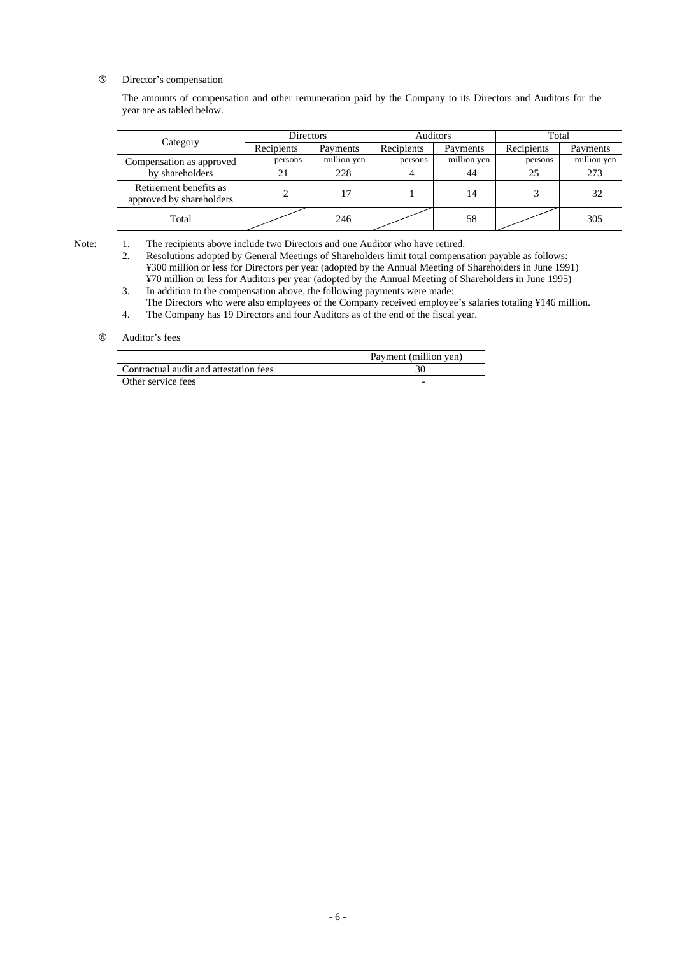g Director's compensation

The amounts of compensation and other remuneration paid by the Company to its Directors and Auditors for the year are as tabled below.

|                                                    | Directors  |             | Auditors   |             | Total      |             |
|----------------------------------------------------|------------|-------------|------------|-------------|------------|-------------|
| Category                                           | Recipients | Payments    | Recipients | Payments    | Recipients | Payments    |
| Compensation as approved                           | persons    | million yen | persons    | million yen | persons    | million yen |
| by shareholders                                    | 21         | 228         |            | 44          | 25         | 273         |
| Retirement benefits as<br>approved by shareholders |            | 17          |            | 14          |            | 32          |
| Total                                              |            | 246         |            | 58          |            | 305         |

Note: 1. The recipients above include two Directors and one Auditor who have retired.

 2. Resolutions adopted by General Meetings of Shareholders limit total compensation payable as follows: ¥300 million or less for Directors per year (adopted by the Annual Meeting of Shareholders in June 1991) ¥70 million or less for Auditors per year (adopted by the Annual Meeting of Shareholders in June 1995)

3. In addition to the compensation above, the following payments were made:

The Directors who were also employees of the Company received employee's salaries totaling ¥146 million. 4. The Company has 19 Directors and four Auditors as of the end of the fiscal year.

#### $6$  Auditor's fees

|                                        | Payment (million yen)    |
|----------------------------------------|--------------------------|
| Contractual audit and attestation fees |                          |
| Other service fees                     | $\overline{\phantom{0}}$ |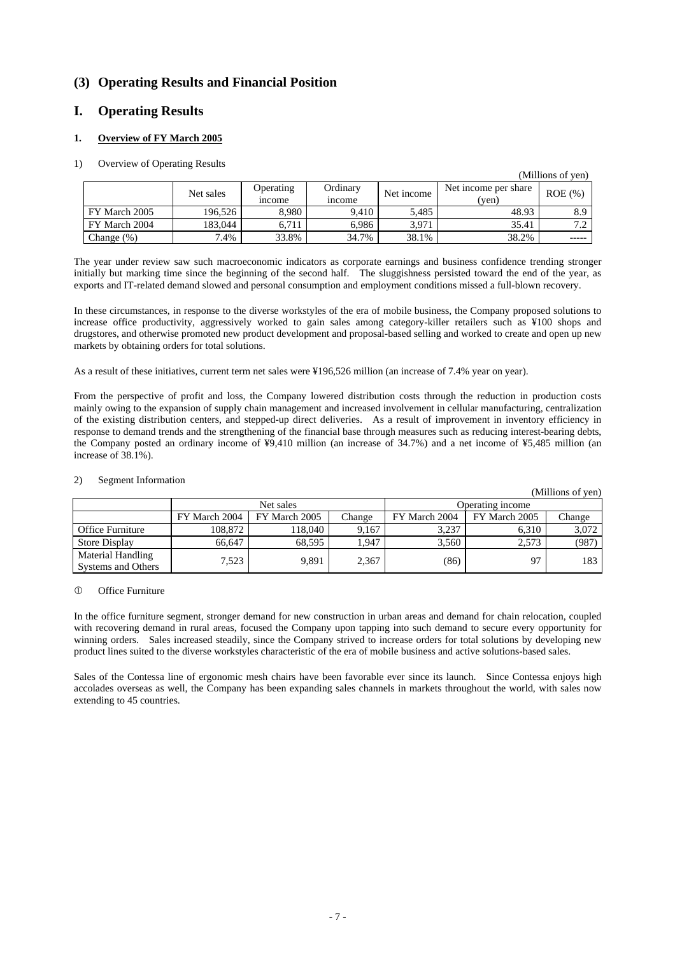# **(3) Operating Results and Financial Position**

### **I. Operating Results**

### **1. Overview of FY March 2005**

#### 1) Overview of Operating Results

|               |           |                            |                           |            |                               | (Millions of yen) |
|---------------|-----------|----------------------------|---------------------------|------------|-------------------------------|-------------------|
|               | Net sales | Operating<br><i>n</i> come | Ordinary<br><i>n</i> come | Net income | Net income per share<br>(yen) | $ROE (\% )$       |
| FY March 2005 | 196.526   | 8.980                      | 9.410                     | 5.485      | 48.93                         | 8.9               |
| FY March 2004 | 183.044   | 6.711                      | 6.986                     | 3.971      | 35.41                         | 7 <sup>7</sup>    |
| Change $(\%)$ | $.4\%$    | 33.8%                      | 34.7%                     | 38.1%      | 38.2%                         | -----             |

The year under review saw such macroeconomic indicators as corporate earnings and business confidence trending stronger initially but marking time since the beginning of the second half. The sluggishness persisted toward the end of the year, as exports and IT-related demand slowed and personal consumption and employment conditions missed a full-blown recovery.

In these circumstances, in response to the diverse workstyles of the era of mobile business, the Company proposed solutions to increase office productivity, aggressively worked to gain sales among category-killer retailers such as ¥100 shops and drugstores, and otherwise promoted new product development and proposal-based selling and worked to create and open up new markets by obtaining orders for total solutions.

As a result of these initiatives, current term net sales were ¥196,526 million (an increase of 7.4% year on year).

From the perspective of profit and loss, the Company lowered distribution costs through the reduction in production costs mainly owing to the expansion of supply chain management and increased involvement in cellular manufacturing, centralization of the existing distribution centers, and stepped-up direct deliveries. As a result of improvement in inventory efficiency in response to demand trends and the strengthening of the financial base through measures such as reducing interest-bearing debts, the Company posted an ordinary income of ¥9,410 million (an increase of 34.7%) and a net income of ¥5,485 million (an increase of 38.1%).

|                                                |               |               |        |                  |               | (Millions of yen) |  |
|------------------------------------------------|---------------|---------------|--------|------------------|---------------|-------------------|--|
|                                                | Net sales     |               |        | Operating income |               |                   |  |
|                                                | FY March 2004 | FY March 2005 | Change | FY March 2004    | FY March 2005 | Change            |  |
| Office Furniture                               | 108.872       | 118,040       | 9.167  | 3.237            | 6.310         | 3,072             |  |
| Store Display                                  | 66.647        | 68.595        | .947   | 3.560            | 2,573         | (987)             |  |
| <b>Material Handling</b><br>Systems and Others | 7,523         | 9.891         | 2,367  | (86)             | 97            | 183               |  |

#### 2) Segment Information

#### <sup>1</sup> Office Furniture

In the office furniture segment, stronger demand for new construction in urban areas and demand for chain relocation, coupled with recovering demand in rural areas, focused the Company upon tapping into such demand to secure every opportunity for winning orders. Sales increased steadily, since the Company strived to increase orders for total solutions by developing new product lines suited to the diverse workstyles characteristic of the era of mobile business and active solutions-based sales.

Sales of the Contessa line of ergonomic mesh chairs have been favorable ever since its launch. Since Contessa enjoys high accolades overseas as well, the Company has been expanding sales channels in markets throughout the world, with sales now extending to 45 countries.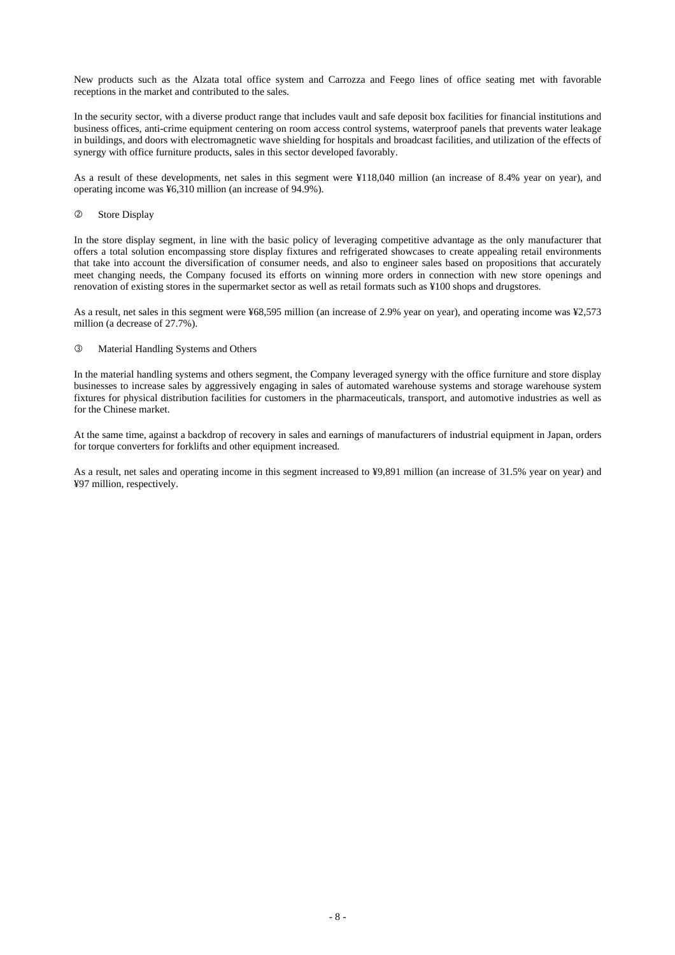New products such as the Alzata total office system and Carrozza and Feego lines of office seating met with favorable receptions in the market and contributed to the sales.

In the security sector, with a diverse product range that includes vault and safe deposit box facilities for financial institutions and business offices, anti-crime equipment centering on room access control systems, waterproof panels that prevents water leakage in buildings, and doors with electromagnetic wave shielding for hospitals and broadcast facilities, and utilization of the effects of synergy with office furniture products, sales in this sector developed favorably.

As a result of these developments, net sales in this segment were ¥118,040 million (an increase of 8.4% year on year), and operating income was ¥6,310 million (an increase of 94.9%).

#### 2 Store Display

In the store display segment, in line with the basic policy of leveraging competitive advantage as the only manufacturer that offers a total solution encompassing store display fixtures and refrigerated showcases to create appealing retail environments that take into account the diversification of consumer needs, and also to engineer sales based on propositions that accurately meet changing needs, the Company focused its efforts on winning more orders in connection with new store openings and renovation of existing stores in the supermarket sector as well as retail formats such as ¥100 shops and drugstores.

As a result, net sales in this segment were ¥68,595 million (an increase of 2.9% year on year), and operating income was ¥2,573 million (a decrease of 27.7%).

#### **3** Material Handling Systems and Others

In the material handling systems and others segment, the Company leveraged synergy with the office furniture and store display businesses to increase sales by aggressively engaging in sales of automated warehouse systems and storage warehouse system fixtures for physical distribution facilities for customers in the pharmaceuticals, transport, and automotive industries as well as for the Chinese market.

At the same time, against a backdrop of recovery in sales and earnings of manufacturers of industrial equipment in Japan, orders for torque converters for forklifts and other equipment increased.

As a result, net sales and operating income in this segment increased to ¥9,891 million (an increase of 31.5% year on year) and ¥97 million, respectively.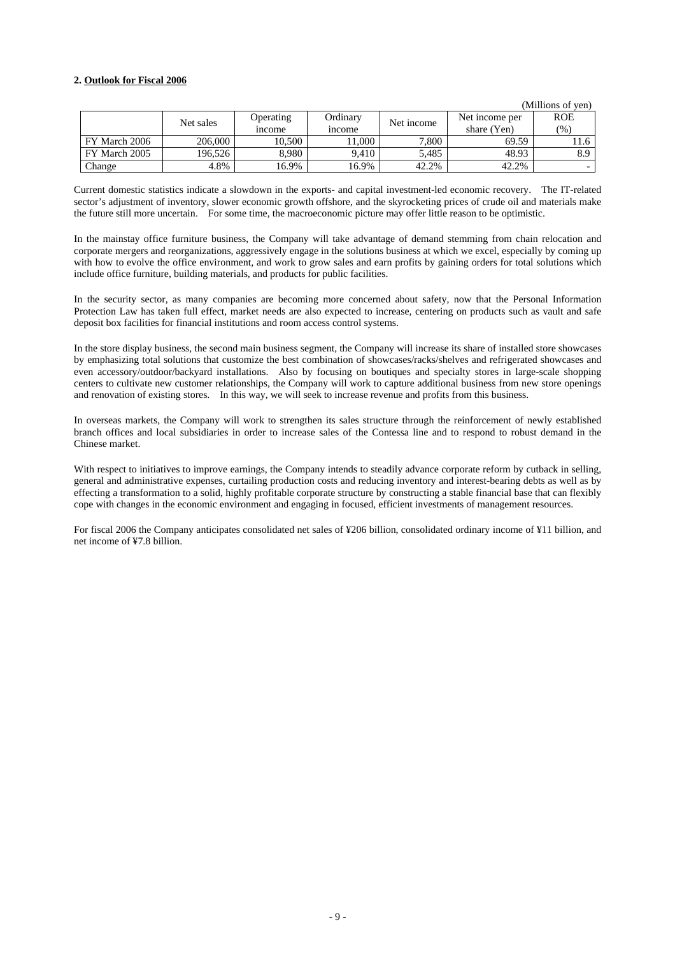#### **2. Outlook for Fiscal 2006**

|               |           |               |                    |            |                | (Millions of yen) |
|---------------|-----------|---------------|--------------------|------------|----------------|-------------------|
|               | Net sales | Operating     | Ordinary           | Net income | Net income per | <b>ROE</b>        |
|               |           | <i>n</i> come | <sub>1</sub> ncome |            | share (Yen)    | (%)               |
| FY March 2006 | 206,000   | 10.500        | 1.000              | 7,800      | 69.59          | 11.6              |
| FY March 2005 | 196.526   | 8.980         | 9.410              | 5.485      | 48.93          | 8.9               |
| Change        | 4.8%      | 16.9%         | 16.9%              | 42.2%      | 42.2%          |                   |

Current domestic statistics indicate a slowdown in the exports- and capital investment-led economic recovery. The IT-related sector's adjustment of inventory, slower economic growth offshore, and the skyrocketing prices of crude oil and materials make the future still more uncertain. For some time, the macroeconomic picture may offer little reason to be optimistic.

In the mainstay office furniture business, the Company will take advantage of demand stemming from chain relocation and corporate mergers and reorganizations, aggressively engage in the solutions business at which we excel, especially by coming up with how to evolve the office environment, and work to grow sales and earn profits by gaining orders for total solutions which include office furniture, building materials, and products for public facilities.

In the security sector, as many companies are becoming more concerned about safety, now that the Personal Information Protection Law has taken full effect, market needs are also expected to increase, centering on products such as vault and safe deposit box facilities for financial institutions and room access control systems.

In the store display business, the second main business segment, the Company will increase its share of installed store showcases by emphasizing total solutions that customize the best combination of showcases/racks/shelves and refrigerated showcases and even accessory/outdoor/backyard installations. Also by focusing on boutiques and specialty stores in large-scale shopping centers to cultivate new customer relationships, the Company will work to capture additional business from new store openings and renovation of existing stores. In this way, we will seek to increase revenue and profits from this business.

In overseas markets, the Company will work to strengthen its sales structure through the reinforcement of newly established branch offices and local subsidiaries in order to increase sales of the Contessa line and to respond to robust demand in the Chinese market.

With respect to initiatives to improve earnings, the Company intends to steadily advance corporate reform by cutback in selling, general and administrative expenses, curtailing production costs and reducing inventory and interest-bearing debts as well as by effecting a transformation to a solid, highly profitable corporate structure by constructing a stable financial base that can flexibly cope with changes in the economic environment and engaging in focused, efficient investments of management resources.

For fiscal 2006 the Company anticipates consolidated net sales of ¥206 billion, consolidated ordinary income of ¥11 billion, and net income of ¥7.8 billion.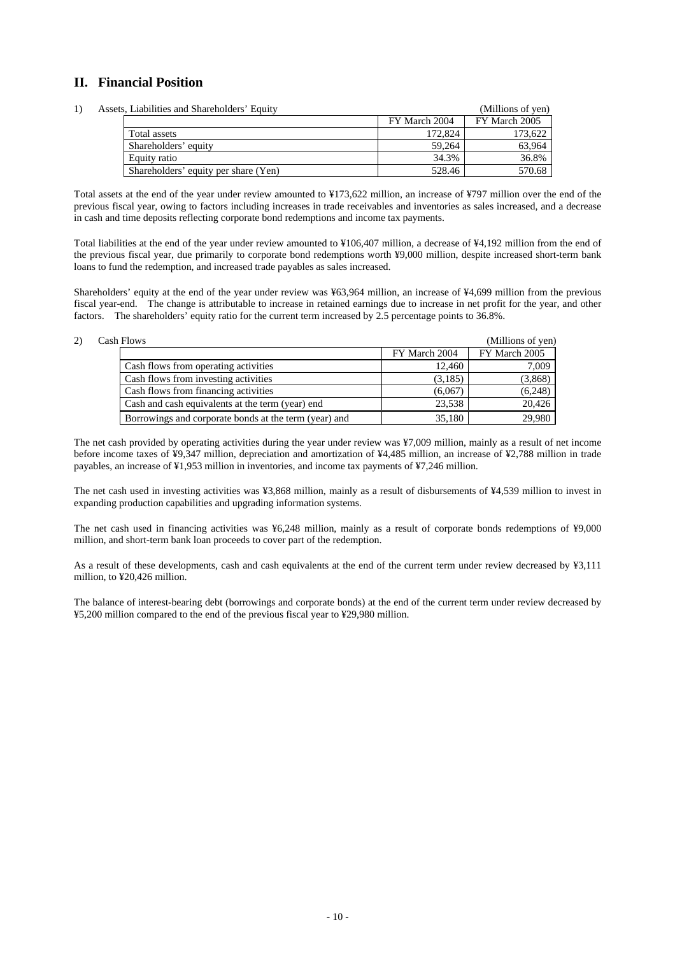## **II. Financial Position**

|  | Assets, Liabilities and Shareholders' Equity |               | (Millions of yen) |
|--|----------------------------------------------|---------------|-------------------|
|  |                                              | FY March 2004 | FY March 2005     |
|  | Total assets                                 | 172,824       | 173.622           |
|  | Shareholders' equity                         | 59.264        | 63.964            |
|  | Equity ratio                                 | 34.3%         | 36.8%             |
|  | Shareholders' equity per share (Yen)         | 528.46        | 570.68            |

Total assets at the end of the year under review amounted to ¥173,622 million, an increase of ¥797 million over the end of the previous fiscal year, owing to factors including increases in trade receivables and inventories as sales increased, and a decrease in cash and time deposits reflecting corporate bond redemptions and income tax payments.

Total liabilities at the end of the year under review amounted to ¥106,407 million, a decrease of ¥4,192 million from the end of the previous fiscal year, due primarily to corporate bond redemptions worth ¥9,000 million, despite increased short-term bank loans to fund the redemption, and increased trade payables as sales increased.

Shareholders' equity at the end of the year under review was ¥63,964 million, an increase of ¥4,699 million from the previous fiscal year-end. The change is attributable to increase in retained earnings due to increase in net profit for the year, and other factors. The shareholders' equity ratio for the current term increased by 2.5 percentage points to 36.8%.

#### 2) Cash Flows (Millions of yen) FY March 2004 FY March 2005 Cash flows from operating activities 12,460 12,460 7,009 Cash flows from investing activities (3,185) (3,868) Cash flows from financing activities (6,067) (6,248) Cash and cash equivalents at the term (year) end 23,538 20,426 Borrowings and corporate bonds at the term (year) and 35,180 35,180 29,980

The net cash provided by operating activities during the year under review was ¥7,009 million, mainly as a result of net income before income taxes of ¥9,347 million, depreciation and amortization of ¥4,485 million, an increase of ¥2,788 million in trade payables, an increase of ¥1,953 million in inventories, and income tax payments of ¥7,246 million.

The net cash used in investing activities was ¥3,868 million, mainly as a result of disbursements of ¥4,539 million to invest in expanding production capabilities and upgrading information systems.

The net cash used in financing activities was ¥6,248 million, mainly as a result of corporate bonds redemptions of ¥9,000 million, and short-term bank loan proceeds to cover part of the redemption.

As a result of these developments, cash and cash equivalents at the end of the current term under review decreased by ¥3,111 million, to ¥20,426 million.

The balance of interest-bearing debt (borrowings and corporate bonds) at the end of the current term under review decreased by ¥5,200 million compared to the end of the previous fiscal year to ¥29,980 million.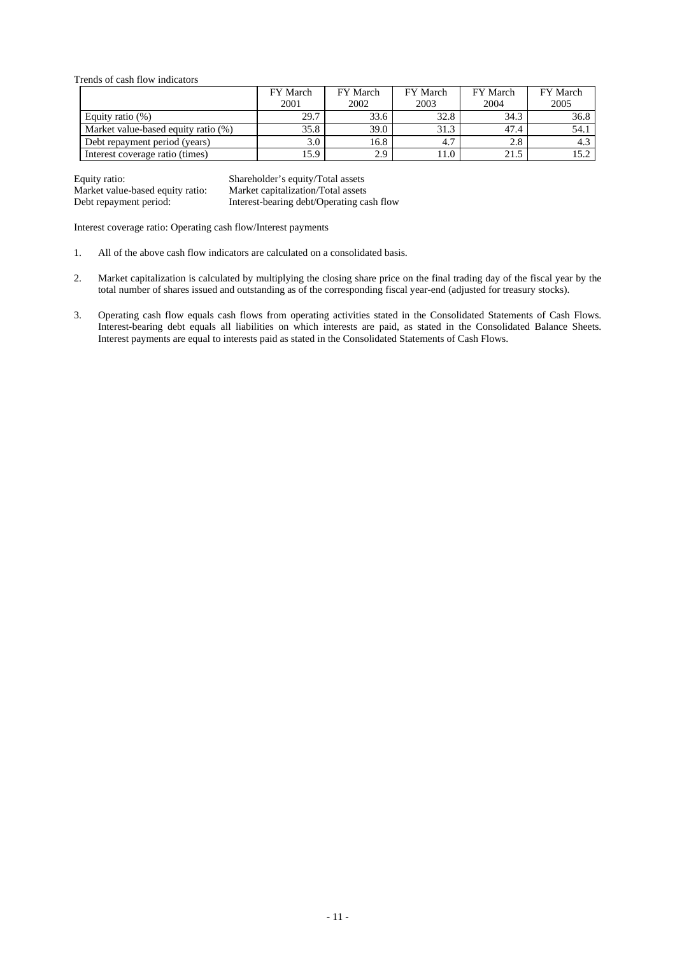Trends of cash flow indicators

|                                     | FY March | FY March    | FY March | FY March | FY March |
|-------------------------------------|----------|-------------|----------|----------|----------|
|                                     | 2001     | 2002        | 2003     | 2004     | 2005     |
| Equity ratio $(\%)$                 | 29.7     | 33.6        | 32.8     | 34.3     | 36.8     |
| Market value-based equity ratio (%) | 35.8     | <b>39.0</b> | 31.3     | 47.4     | 54.1     |
| Debt repayment period (years)       | 3.0      | 16.8        | 4.7      | 2.8      |          |
| Interest coverage ratio (times)     | 15.9     | 2.9         | 11.0     | 21.5     |          |

Equity ratio: Shareholder's equity/Total assets Market value-based equity ratio: Market capitalization/Total assets Debt repayment period: Interest-bearing debt/Operating cash flow

Interest coverage ratio: Operating cash flow/Interest payments

- 1. All of the above cash flow indicators are calculated on a consolidated basis.
- 2. Market capitalization is calculated by multiplying the closing share price on the final trading day of the fiscal year by the total number of shares issued and outstanding as of the corresponding fiscal year-end (adjusted for treasury stocks).
- 3. Operating cash flow equals cash flows from operating activities stated in the Consolidated Statements of Cash Flows. Interest-bearing debt equals all liabilities on which interests are paid, as stated in the Consolidated Balance Sheets. Interest payments are equal to interests paid as stated in the Consolidated Statements of Cash Flows.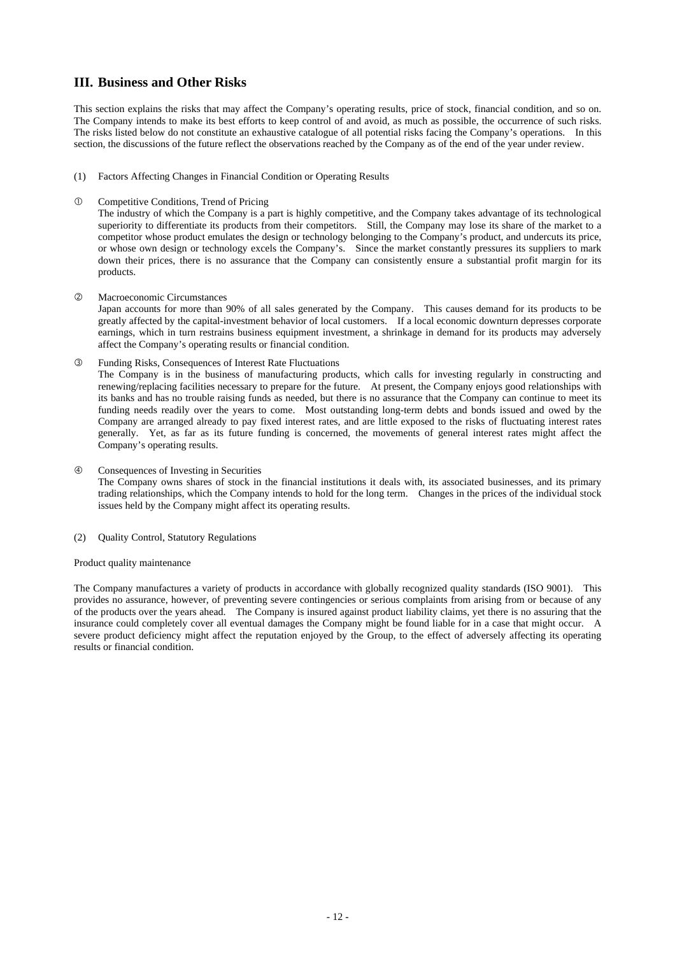### **III. Business and Other Risks**

This section explains the risks that may affect the Company's operating results, price of stock, financial condition, and so on. The Company intends to make its best efforts to keep control of and avoid, as much as possible, the occurrence of such risks. The risks listed below do not constitute an exhaustive catalogue of all potential risks facing the Company's operations. In this section, the discussions of the future reflect the observations reached by the Company as of the end of the year under review.

- (1) Factors Affecting Changes in Financial Condition or Operating Results
- c Competitive Conditions, Trend of Pricing

The industry of which the Company is a part is highly competitive, and the Company takes advantage of its technological superiority to differentiate its products from their competitors. Still, the Company may lose its share of the market to a competitor whose product emulates the design or technology belonging to the Company's product, and undercuts its price, or whose own design or technology excels the Company's. Since the market constantly pressures its suppliers to mark down their prices, there is no assurance that the Company can consistently ensure a substantial profit margin for its products.

d Macroeconomic Circumstances

Japan accounts for more than 90% of all sales generated by the Company. This causes demand for its products to be greatly affected by the capital-investment behavior of local customers. If a local economic downturn depresses corporate earnings, which in turn restrains business equipment investment, a shrinkage in demand for its products may adversely affect the Company's operating results or financial condition.

e Funding Risks, Consequences of Interest Rate Fluctuations

The Company is in the business of manufacturing products, which calls for investing regularly in constructing and renewing/replacing facilities necessary to prepare for the future. At present, the Company enjoys good relationships with its banks and has no trouble raising funds as needed, but there is no assurance that the Company can continue to meet its funding needs readily over the years to come. Most outstanding long-term debts and bonds issued and owed by the Company are arranged already to pay fixed interest rates, and are little exposed to the risks of fluctuating interest rates generally. Yet, as far as its future funding is concerned, the movements of general interest rates might affect the Company's operating results.

f Consequences of Investing in Securities

The Company owns shares of stock in the financial institutions it deals with, its associated businesses, and its primary trading relationships, which the Company intends to hold for the long term. Changes in the prices of the individual stock issues held by the Company might affect its operating results.

(2) Quality Control, Statutory Regulations

#### Product quality maintenance

The Company manufactures a variety of products in accordance with globally recognized quality standards (ISO 9001). This provides no assurance, however, of preventing severe contingencies or serious complaints from arising from or because of any of the products over the years ahead. The Company is insured against product liability claims, yet there is no assuring that the insurance could completely cover all eventual damages the Company might be found liable for in a case that might occur. A severe product deficiency might affect the reputation enjoyed by the Group, to the effect of adversely affecting its operating results or financial condition.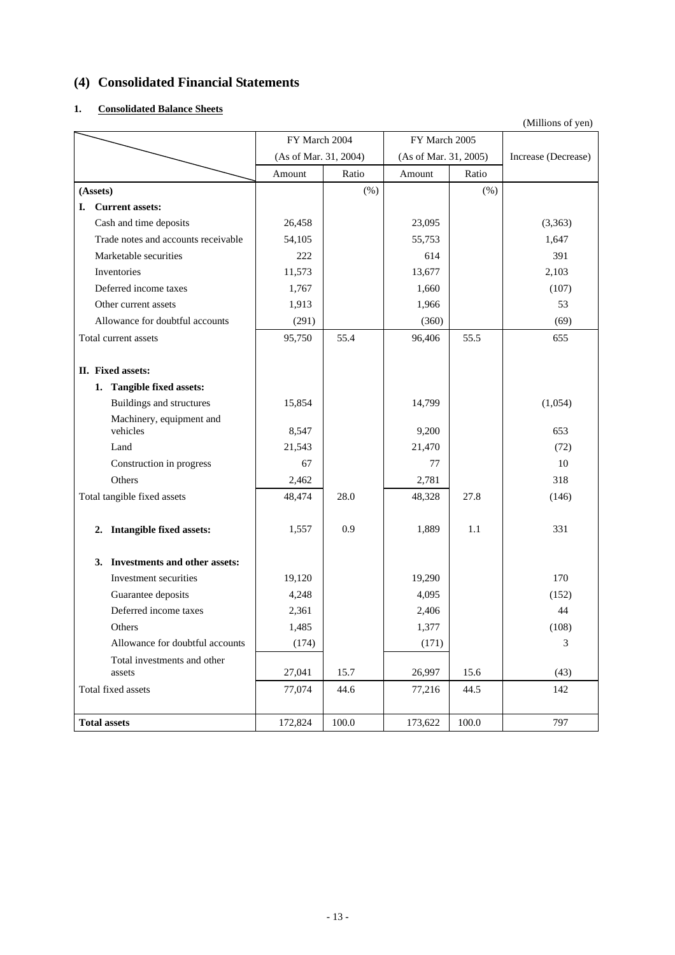# **(4) Consolidated Financial Statements**

### **1. Consolidated Balance Sheets**

|    |                                            |                                        |         | FY March 2005         |       | $($ winnons or $y$ cn |
|----|--------------------------------------------|----------------------------------------|---------|-----------------------|-------|-----------------------|
|    |                                            | FY March 2004<br>(As of Mar. 31, 2004) |         | (As of Mar. 31, 2005) |       | Increase (Decrease)   |
|    |                                            | Amount                                 | Ratio   | Amount                | Ratio |                       |
|    |                                            |                                        |         |                       |       |                       |
|    | (Assets)                                   |                                        | $(\% )$ |                       | (% )  |                       |
| L. | <b>Current assets:</b>                     |                                        |         |                       |       |                       |
|    | Cash and time deposits                     | 26,458                                 |         | 23,095                |       | (3,363)               |
|    | Trade notes and accounts receivable        | 54,105                                 |         | 55,753                |       | 1,647                 |
|    | Marketable securities                      | 222                                    |         | 614                   |       | 391                   |
|    | Inventories                                | 11,573                                 |         | 13,677                |       | 2,103                 |
|    | Deferred income taxes                      | 1,767                                  |         | 1,660                 |       | (107)                 |
|    | Other current assets                       | 1,913                                  |         | 1,966                 |       | 53                    |
|    | Allowance for doubtful accounts            | (291)                                  |         | (360)                 |       | (69)                  |
|    | Total current assets                       | 95,750                                 | 55.4    | 96,406                | 55.5  | 655                   |
|    |                                            |                                        |         |                       |       |                       |
|    | II. Fixed assets:                          |                                        |         |                       |       |                       |
|    | 1. Tangible fixed assets:                  |                                        |         |                       |       |                       |
|    | <b>Buildings and structures</b>            | 15,854                                 |         | 14,799                |       | (1,054)               |
|    | Machinery, equipment and<br>vehicles       | 8,547                                  |         | 9,200                 |       | 653                   |
|    | Land                                       | 21,543                                 |         | 21,470                |       | (72)                  |
|    | Construction in progress                   | 67                                     |         | 77                    |       | 10                    |
|    | Others                                     | 2,462                                  |         | 2,781                 |       | 318                   |
|    | Total tangible fixed assets                | 48,474                                 | 28.0    | 48,328                | 27.8  | (146)                 |
|    | <b>Intangible fixed assets:</b><br>2.      | 1,557                                  | 0.9     | 1,889                 | 1.1   | 331                   |
|    | <b>Investments and other assets:</b><br>3. |                                        |         |                       |       |                       |
|    | Investment securities                      | 19,120                                 |         | 19,290                |       | 170                   |
|    | Guarantee deposits                         | 4,248                                  |         | 4,095                 |       | (152)                 |
|    | Deferred income taxes                      | 2,361                                  |         | 2,406                 |       | 44                    |
|    | Others                                     | 1,485                                  |         | 1,377                 |       | (108)                 |
|    | Allowance for doubtful accounts            | (174)                                  |         | (171)                 |       | $\mathfrak{Z}$        |
|    | Total investments and other<br>assets      | 27,041                                 | 15.7    | 26,997                | 15.6  | (43)                  |
|    | Total fixed assets                         | 77,074                                 | 44.6    | 77,216                | 44.5  | 142                   |
|    |                                            |                                        |         |                       |       |                       |
|    | <b>Total assets</b>                        | 172,824                                | 100.0   | 173,622               | 100.0 | 797                   |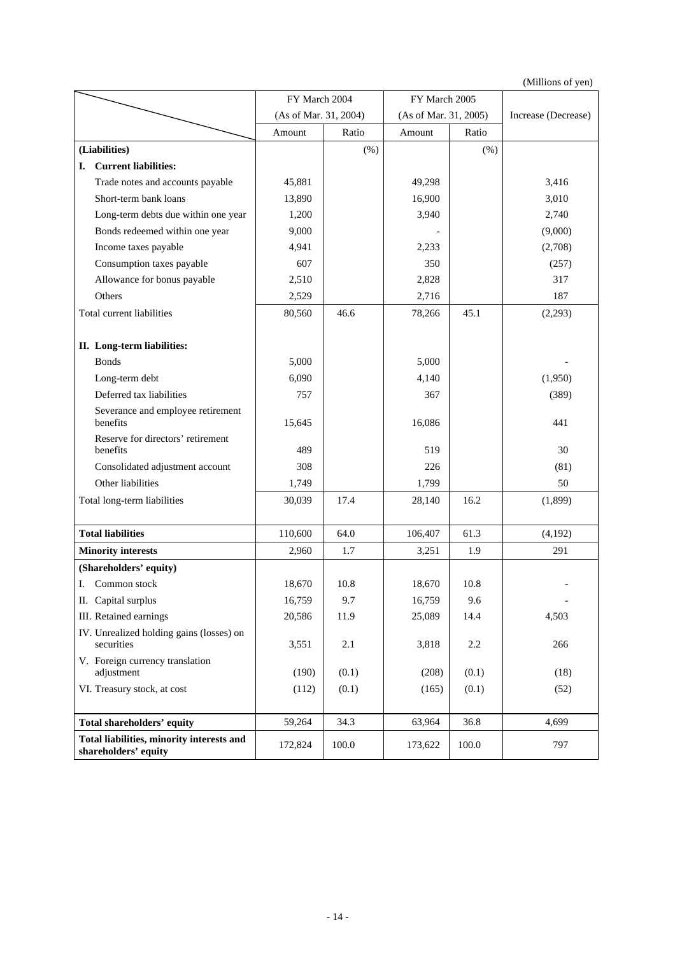(Millions of yen)

|                                                                   | FY March 2004         |       | FY March 2005         |         |                     |
|-------------------------------------------------------------------|-----------------------|-------|-----------------------|---------|---------------------|
|                                                                   | (As of Mar. 31, 2004) |       | (As of Mar. 31, 2005) |         | Increase (Decrease) |
|                                                                   | Amount                | Ratio | Amount                | Ratio   |                     |
| (Liabilities)                                                     |                       | (% )  |                       | (% )    |                     |
| <b>Current liabilities:</b><br>I.                                 |                       |       |                       |         |                     |
| Trade notes and accounts payable                                  | 45,881                |       | 49,298                |         | 3,416               |
| Short-term bank loans                                             | 13,890                |       | 16,900                |         | 3,010               |
| Long-term debts due within one year                               | 1,200                 |       | 3,940                 |         | 2,740               |
| Bonds redeemed within one year                                    | 9,000                 |       |                       |         | (9,000)             |
| Income taxes payable                                              | 4,941                 |       | 2,233                 |         | (2,708)             |
| Consumption taxes payable                                         | 607                   |       | 350                   |         | (257)               |
| Allowance for bonus payable                                       | 2,510                 |       | 2,828                 |         | 317                 |
| Others                                                            | 2,529                 |       | 2,716                 |         | 187                 |
| Total current liabilities                                         | 80,560                | 46.6  | 78,266                | 45.1    | (2,293)             |
| II. Long-term liabilities:                                        |                       |       |                       |         |                     |
| <b>Bonds</b>                                                      | 5,000                 |       | 5,000                 |         |                     |
| Long-term debt                                                    | 6,090                 |       | 4,140                 |         | (1,950)             |
| Deferred tax liabilities                                          | 757                   |       | 367                   |         | (389)               |
| Severance and employee retirement<br>benefits                     | 15,645                |       | 16,086                |         | 441                 |
| Reserve for directors' retirement<br>benefits                     | 489                   |       | 519                   |         | 30                  |
| Consolidated adjustment account                                   | 308                   |       | 226                   |         | (81)                |
| Other liabilities                                                 | 1,749                 |       | 1,799                 |         | 50                  |
| Total long-term liabilities                                       | 30,039                | 17.4  | 28,140                | 16.2    | (1,899)             |
| <b>Total liabilities</b>                                          | 110,600               | 64.0  | 106,407               | 61.3    | (4,192)             |
| <b>Minority interests</b>                                         | 2,960                 | 1.7   | 3,251                 | 1.9     | 291                 |
| (Shareholders' equity)                                            |                       |       |                       |         |                     |
| Common stock<br>Ι.                                                | 18,670                | 10.8  | 18,670                | 10.8    |                     |
| II. Capital surplus                                               | 16,759                | 9.7   | 16,759                | 9.6     |                     |
| III. Retained earnings                                            | 20,586                | 11.9  | 25,089                | 14.4    | 4,503               |
| IV. Unrealized holding gains (losses) on<br>securities            | 3,551                 | 2.1   | 3,818                 | $2.2\,$ | 266                 |
| V. Foreign currency translation<br>adjustment                     | (190)                 | (0.1) | (208)                 | (0.1)   | (18)                |
| VI. Treasury stock, at cost                                       | (112)                 | (0.1) | (165)                 | (0.1)   | (52)                |
| Total shareholders' equity                                        | 59,264                | 34.3  | 63,964                | 36.8    | 4,699               |
| Total liabilities, minority interests and<br>shareholders' equity | 172,824               | 100.0 | 173,622               | 100.0   | 797                 |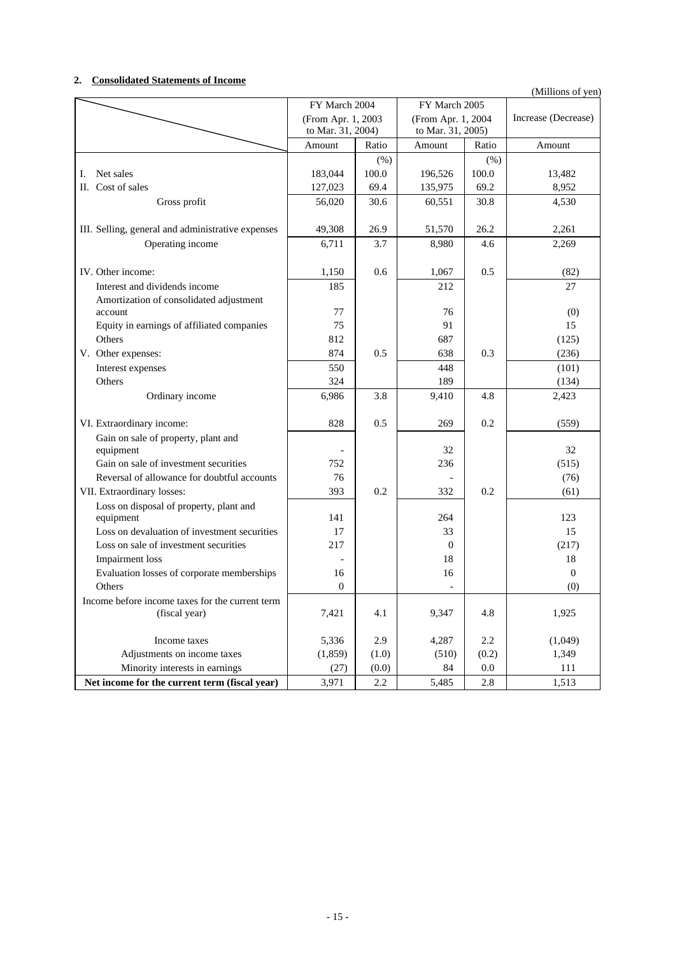### **2. Consolidated Statements of Income**

| (Millions of yen) |  |  |
|-------------------|--|--|
|                   |  |  |

|                                                    | FY March 2004      |        | FY March 2005      |         |                     |
|----------------------------------------------------|--------------------|--------|--------------------|---------|---------------------|
|                                                    | (From Apr. 1, 2003 |        | (From Apr. 1, 2004 |         | Increase (Decrease) |
|                                                    | to Mar. 31, 2004)  |        | to Mar. 31, 2005)  |         |                     |
|                                                    | Amount             | Ratio  | Amount             | Ratio   | Amount              |
|                                                    |                    | $(\%)$ |                    | (% )    |                     |
| Net sales<br>Ι.                                    | 183,044            | 100.0  | 196,526            | 100.0   | 13,482              |
| II. Cost of sales                                  | 127,023            | 69.4   | 135,975            | 69.2    | 8,952               |
| Gross profit                                       | 56,020             | 30.6   | 60,551             | 30.8    | 4,530               |
|                                                    |                    |        |                    |         |                     |
| III. Selling, general and administrative expenses  | 49,308             | 26.9   | 51,570             | 26.2    | 2,261               |
| Operating income                                   | 6,711              | 3.7    | 8,980              | 4.6     | 2,269               |
|                                                    |                    |        |                    |         |                     |
| IV. Other income:                                  | 1,150              | 0.6    | 1,067              | 0.5     | (82)                |
| Interest and dividends income                      | 185                |        | 212                |         | 27                  |
| Amortization of consolidated adjustment<br>account | 77                 |        | 76                 |         | (0)                 |
| Equity in earnings of affiliated companies         | 75                 |        | 91                 |         | 15                  |
| Others                                             | 812                |        | 687                |         | (125)               |
| V. Other expenses:                                 | 874                | 0.5    | 638                | 0.3     | (236)               |
| Interest expenses                                  | 550                |        | 448                |         | (101)               |
| Others                                             | 324                |        | 189                |         | (134)               |
| Ordinary income                                    | 6,986              | 3.8    | 9,410              | 4.8     | 2,423               |
|                                                    |                    |        |                    |         |                     |
| VI. Extraordinary income:                          | 828                | 0.5    | 269                | 0.2     | (559)               |
| Gain on sale of property, plant and                |                    |        |                    |         |                     |
| equipment                                          |                    |        | 32                 |         | 32                  |
| Gain on sale of investment securities              | 752                |        | 236                |         | (515)               |
| Reversal of allowance for doubtful accounts        | 76                 |        |                    |         | (76)                |
| VII. Extraordinary losses:                         | 393                | 0.2    | 332                | 0.2     | (61)                |
| Loss on disposal of property, plant and            |                    |        |                    |         |                     |
| equipment                                          | 141                |        | 264                |         | 123                 |
| Loss on devaluation of investment securities       | 17                 |        | 33                 |         | 15                  |
| Loss on sale of investment securities              | 217                |        | $\overline{0}$     |         | (217)               |
| Impairment loss                                    |                    |        | 18                 |         | 18                  |
| Evaluation losses of corporate memberships         | 16                 |        | 16                 |         | $\Omega$            |
| Others                                             | $\Omega$           |        | $\overline{a}$     |         | (0)                 |
| Income before income taxes for the current term    |                    |        |                    |         |                     |
| (fiscal year)                                      | 7,421              | 4.1    | 9,347              | 4.8     | 1,925               |
| Income taxes                                       | 5,336              | 2.9    | 4,287              | 2.2     | (1,049)             |
| Adjustments on income taxes                        | (1, 859)           | (1.0)  | (510)              | (0.2)   | 1,349               |
| Minority interests in earnings                     | (27)               | (0.0)  | 84                 | 0.0     | 111                 |
| Net income for the current term (fiscal year)      | 3,971              | 2.2    | 5,485              | $2.8\,$ | 1,513               |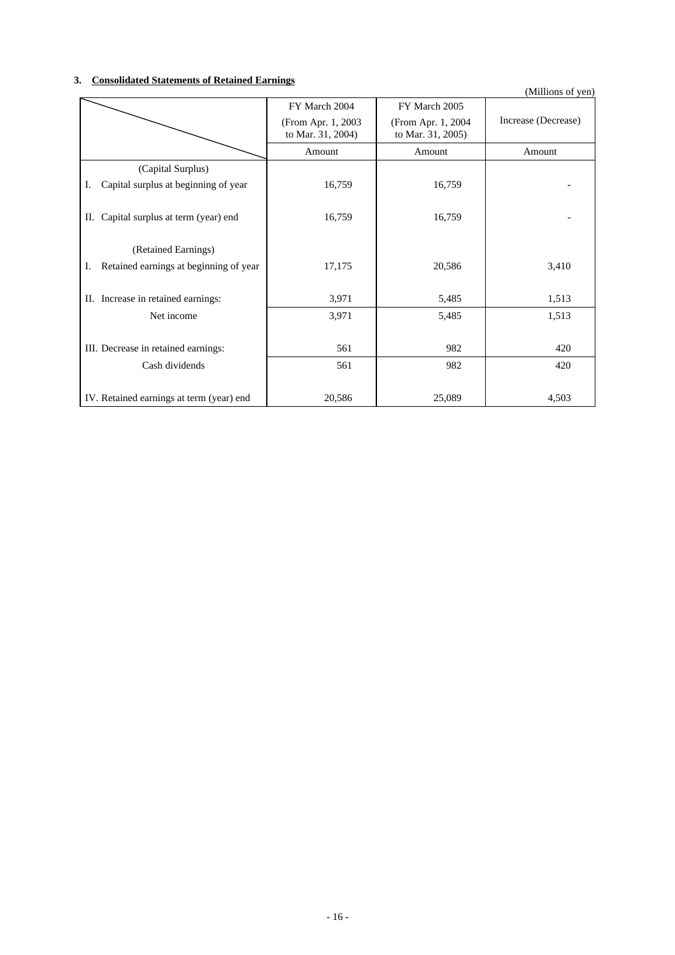### **3. Consolidated Statements of Retained Earnings**

| onsonuated Diatements of Iteramed Earlings<br>(Millions of yen) |                                         |                                          |                     |  |  |  |
|-----------------------------------------------------------------|-----------------------------------------|------------------------------------------|---------------------|--|--|--|
|                                                                 | FY March 2004                           | FY March 2005                            |                     |  |  |  |
|                                                                 | (From Apr. 1, 2003<br>to Mar. 31, 2004) | (From Apr. 1, 2004)<br>to Mar. 31, 2005) | Increase (Decrease) |  |  |  |
|                                                                 | Amount                                  | Amount                                   | Amount              |  |  |  |
| (Capital Surplus)                                               |                                         |                                          |                     |  |  |  |
| Capital surplus at beginning of year<br>I.                      | 16,759                                  | 16,759                                   |                     |  |  |  |
| Capital surplus at term (year) end<br>П.                        | 16,759                                  | 16,759                                   |                     |  |  |  |
| (Retained Earnings)                                             |                                         |                                          |                     |  |  |  |
| Retained earnings at beginning of year<br>Ι.                    | 17,175                                  | 20,586                                   | 3,410               |  |  |  |
| II. Increase in retained earnings:                              | 3,971                                   | 5,485                                    | 1,513               |  |  |  |
| Net income                                                      | 3,971                                   | 5,485                                    | 1,513               |  |  |  |
| III. Decrease in retained earnings:                             | 561                                     | 982                                      | 420                 |  |  |  |
| Cash dividends                                                  | 561                                     | 982                                      | 420                 |  |  |  |
| IV. Retained earnings at term (year) end                        | 20,586                                  | 25,089                                   | 4,503               |  |  |  |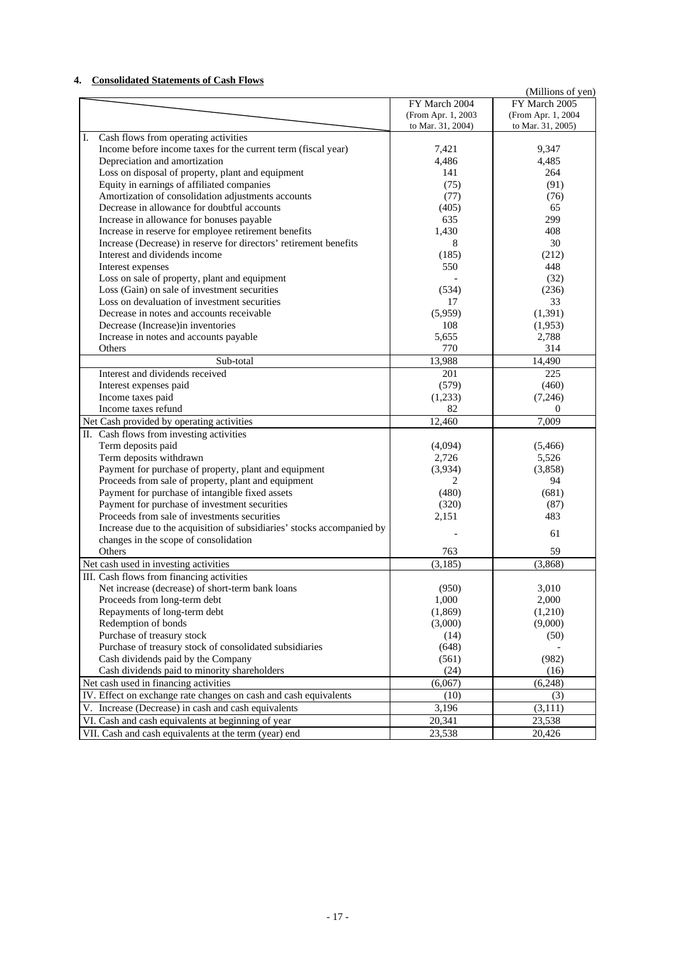### **4. Consolidated Statements of Cash Flows**

| Consonuateu Statements of Cash Flows                                                                         |                    | (Millions of yen)  |
|--------------------------------------------------------------------------------------------------------------|--------------------|--------------------|
|                                                                                                              | FY March 2004      | FY March 2005      |
|                                                                                                              | (From Apr. 1, 2003 | (From Apr. 1, 2004 |
|                                                                                                              | to Mar. 31, 2004)  | to Mar. 31, 2005)  |
| Cash flows from operating activities<br>I.                                                                   |                    |                    |
| Income before income taxes for the current term (fiscal year)                                                | 7,421              | 9.347              |
| Depreciation and amortization                                                                                | 4,486              | 4,485              |
| Loss on disposal of property, plant and equipment                                                            | 141                | 264                |
| Equity in earnings of affiliated companies                                                                   | (75)               | (91)               |
| Amortization of consolidation adjustments accounts                                                           | (77)               | (76)               |
| Decrease in allowance for doubtful accounts                                                                  | (405)              | 65                 |
| Increase in allowance for bonuses payable                                                                    | 635                | 299                |
| Increase in reserve for employee retirement benefits                                                         | 1,430              | 408                |
| Increase (Decrease) in reserve for directors' retirement benefits                                            | 8                  | 30                 |
| Interest and dividends income                                                                                | (185)              | (212)              |
| Interest expenses                                                                                            | 550                | 448                |
| Loss on sale of property, plant and equipment                                                                |                    | (32)               |
| Loss (Gain) on sale of investment securities                                                                 | (534)              | (236)              |
| Loss on devaluation of investment securities                                                                 | 17                 | 33                 |
| Decrease in notes and accounts receivable                                                                    | (5,959)            | (1, 391)           |
| Decrease (Increase) in inventories                                                                           | 108                | (1,953)            |
| Increase in notes and accounts payable                                                                       | 5,655              | 2,788              |
| Others                                                                                                       | 770                | 314                |
| Sub-total                                                                                                    | 13,988             | 14,490             |
| Interest and dividends received                                                                              | 201                | 225                |
| Interest expenses paid                                                                                       | (579)              | (460)              |
| Income taxes paid                                                                                            | (1,233)            | (7,246)            |
| Income taxes refund                                                                                          | 82                 | 0                  |
| Net Cash provided by operating activities                                                                    | 12,460             | 7,009              |
| II. Cash flows from investing activities                                                                     |                    |                    |
| Term deposits paid<br>Term deposits withdrawn                                                                | (4,094)<br>2,726   | (5,466)<br>5,526   |
|                                                                                                              | (3,934)            | (3,858)            |
| Payment for purchase of property, plant and equipment<br>Proceeds from sale of property, plant and equipment | 2                  | 94                 |
| Payment for purchase of intangible fixed assets                                                              | (480)              | (681)              |
| Payment for purchase of investment securities                                                                | (320)              | (87)               |
| Proceeds from sale of investments securities                                                                 | 2,151              | 483                |
| Increase due to the acquisition of subsidiaries' stocks accompanied by                                       |                    |                    |
| changes in the scope of consolidation                                                                        |                    | 61                 |
| Others                                                                                                       | 763                | 59                 |
| Net cash used in investing activities                                                                        | (3, 185)           | (3,868)            |
| III. Cash flows from financing activities                                                                    |                    |                    |
| Net increase (decrease) of short-term bank loans                                                             | (950)              | 3,010              |
| Proceeds from long-term debt                                                                                 | 1,000              | 2,000              |
| Repayments of long-term debt                                                                                 | (1, 869)           | (1,210)            |
| Redemption of bonds                                                                                          | (3,000)            | (9,000)            |
| Purchase of treasury stock                                                                                   | (14)               | (50)               |
| Purchase of treasury stock of consolidated subsidiaries                                                      | (648)              |                    |
| Cash dividends paid by the Company                                                                           | (561)              | (982)              |
| Cash dividends paid to minority shareholders                                                                 | (24)               | (16)               |
| Net cash used in financing activities                                                                        | (6,067)            | (6,248)            |
| IV. Effect on exchange rate changes on cash and cash equivalents                                             | (10)               | (3)                |
| V. Increase (Decrease) in cash and cash equivalents                                                          | 3,196              | (3, 111)           |
| VI. Cash and cash equivalents at beginning of year                                                           | 20,341             | 23,538             |
| VII. Cash and cash equivalents at the term (year) end                                                        | 23,538             | 20,426             |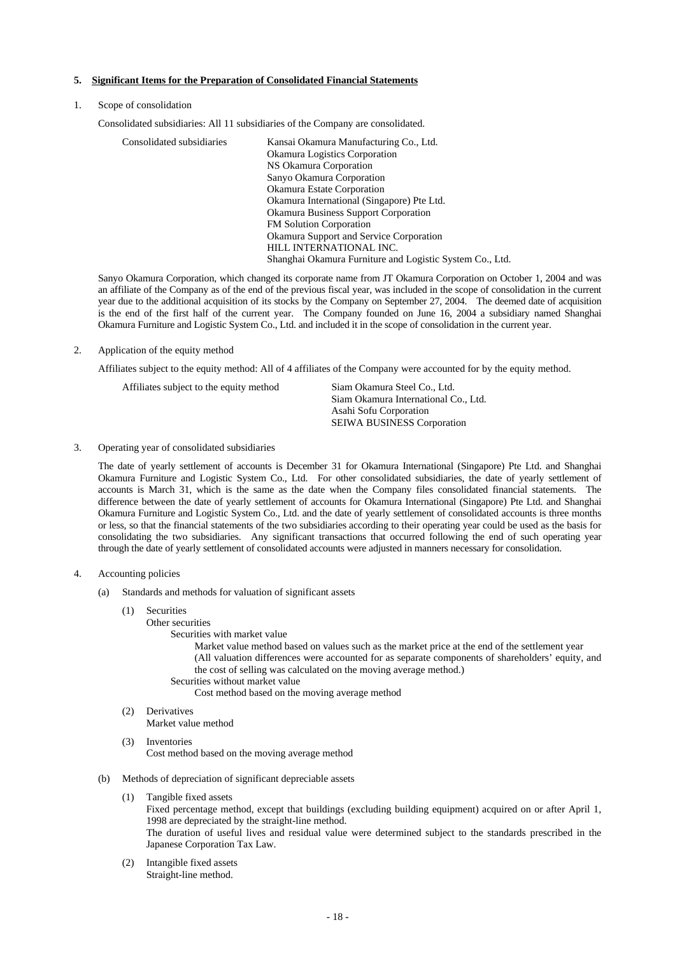#### **5. Significant Items for the Preparation of Consolidated Financial Statements**

#### 1. Scope of consolidation

Consolidated subsidiaries: All 11 subsidiaries of the Company are consolidated.

| Kansai Okamura Manufacturing Co., Ltd.                   |
|----------------------------------------------------------|
| Okamura Logistics Corporation                            |
| NS Okamura Corporation                                   |
| Sanyo Okamura Corporation                                |
| Okamura Estate Corporation                               |
| Okamura International (Singapore) Pte Ltd.               |
| <b>Okamura Business Support Corporation</b>              |
| <b>FM Solution Corporation</b>                           |
| Okamura Support and Service Corporation                  |
| HILL INTERNATIONAL INC.                                  |
| Shanghai Okamura Furniture and Logistic System Co., Ltd. |
|                                                          |

Sanyo Okamura Corporation, which changed its corporate name from JT Okamura Corporation on October 1, 2004 and was an affiliate of the Company as of the end of the previous fiscal year, was included in the scope of consolidation in the current year due to the additional acquisition of its stocks by the Company on September 27, 2004. The deemed date of acquisition is the end of the first half of the current year. The Company founded on June 16, 2004 a subsidiary named Shanghai Okamura Furniture and Logistic System Co., Ltd. and included it in the scope of consolidation in the current year.

#### 2. Application of the equity method

Affiliates subject to the equity method: All of 4 affiliates of the Company were accounted for by the equity method.

| Affiliates subject to the equity method | Siam Okamura Steel Co., Ltd. |
|-----------------------------------------|------------------------------|
|                                         | Siam Okamura International C |
|                                         | Asahi Sofu Corporation       |

ternational Co., Ltd. ration SEIWA BUSINESS Corporation

#### 3. Operating year of consolidated subsidiaries

The date of yearly settlement of accounts is December 31 for Okamura International (Singapore) Pte Ltd. and Shanghai Okamura Furniture and Logistic System Co., Ltd. For other consolidated subsidiaries, the date of yearly settlement of accounts is March 31, which is the same as the date when the Company files consolidated financial statements. The difference between the date of yearly settlement of accounts for Okamura International (Singapore) Pte Ltd. and Shanghai Okamura Furniture and Logistic System Co., Ltd. and the date of yearly settlement of consolidated accounts is three months or less, so that the financial statements of the two subsidiaries according to their operating year could be used as the basis for consolidating the two subsidiaries. Any significant transactions that occurred following the end of such operating year through the date of yearly settlement of consolidated accounts were adjusted in manners necessary for consolidation.

#### 4. Accounting policies

- (a) Standards and methods for valuation of significant assets
	- (1) Securities
		- Other securities
			- Securities with market value

Market value method based on values such as the market price at the end of the settlement year (All valuation differences were accounted for as separate components of shareholders' equity, and the cost of selling was calculated on the moving average method.)

Securities without market value

Cost method based on the moving average method

(2) Derivatives

Market value method

- (3) Inventories Cost method based on the moving average method
- (b) Methods of depreciation of significant depreciable assets
	- (1) Tangible fixed assets Fixed percentage method, except that buildings (excluding building equipment) acquired on or after April 1, 1998 are depreciated by the straight-line method. The duration of useful lives and residual value were determined subject to the standards prescribed in the Japanese Corporation Tax Law.
	- (2) Intangible fixed assets Straight-line method.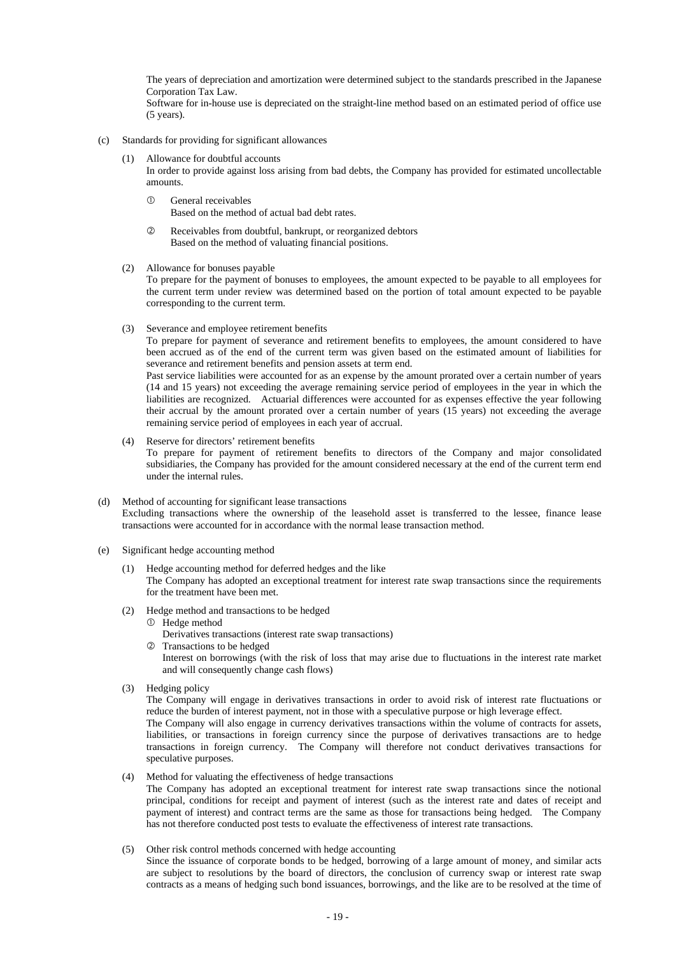The years of depreciation and amortization were determined subject to the standards prescribed in the Japanese Corporation Tax Law.

Software for in-house use is depreciated on the straight-line method based on an estimated period of office use (5 years).

- (c) Standards for providing for significant allowances
	- Allowance for doubtful accounts In order to provide against loss arising from bad debts, the Company has provided for estimated uncollectable amounts.
		- $\Omega$  General receivables Based on the method of actual bad debt rates.
		- d Receivables from doubtful, bankrupt, or reorganized debtors Based on the method of valuating financial positions.
	- (2) Allowance for bonuses payable

To prepare for the payment of bonuses to employees, the amount expected to be payable to all employees for the current term under review was determined based on the portion of total amount expected to be payable corresponding to the current term.

(3) Severance and employee retirement benefits

To prepare for payment of severance and retirement benefits to employees, the amount considered to have been accrued as of the end of the current term was given based on the estimated amount of liabilities for severance and retirement benefits and pension assets at term end.

Past service liabilities were accounted for as an expense by the amount prorated over a certain number of years (14 and 15 years) not exceeding the average remaining service period of employees in the year in which the liabilities are recognized. Actuarial differences were accounted for as expenses effective the year following their accrual by the amount prorated over a certain number of years (15 years) not exceeding the average remaining service period of employees in each year of accrual.

- (4) Reserve for directors' retirement benefits To prepare for payment of retirement benefits to directors of the Company and major consolidated subsidiaries, the Company has provided for the amount considered necessary at the end of the current term end under the internal rules.
- (d) Method of accounting for significant lease transactions Excluding transactions where the ownership of the leasehold asset is transferred to the lessee, finance lease transactions were accounted for in accordance with the normal lease transaction method.
- (e) Significant hedge accounting method
	- (1) Hedge accounting method for deferred hedges and the like The Company has adopted an exceptional treatment for interest rate swap transactions since the requirements for the treatment have been met.
	- (2) Hedge method and transactions to be hedged
		- $\overline{O}$  Hedge method
			- Derivatives transactions (interest rate swap transactions)
		- d Transactions to be hedged

Interest on borrowings (with the risk of loss that may arise due to fluctuations in the interest rate market and will consequently change cash flows)

(3) Hedging policy

The Company will engage in derivatives transactions in order to avoid risk of interest rate fluctuations or reduce the burden of interest payment, not in those with a speculative purpose or high leverage effect. The Company will also engage in currency derivatives transactions within the volume of contracts for assets, liabilities, or transactions in foreign currency since the purpose of derivatives transactions are to hedge transactions in foreign currency. The Company will therefore not conduct derivatives transactions for speculative purposes.

- (4) Method for valuating the effectiveness of hedge transactions The Company has adopted an exceptional treatment for interest rate swap transactions since the notional principal, conditions for receipt and payment of interest (such as the interest rate and dates of receipt and payment of interest) and contract terms are the same as those for transactions being hedged. The Company has not therefore conducted post tests to evaluate the effectiveness of interest rate transactions.
- (5) Other risk control methods concerned with hedge accounting

Since the issuance of corporate bonds to be hedged, borrowing of a large amount of money, and similar acts are subject to resolutions by the board of directors, the conclusion of currency swap or interest rate swap contracts as a means of hedging such bond issuances, borrowings, and the like are to be resolved at the time of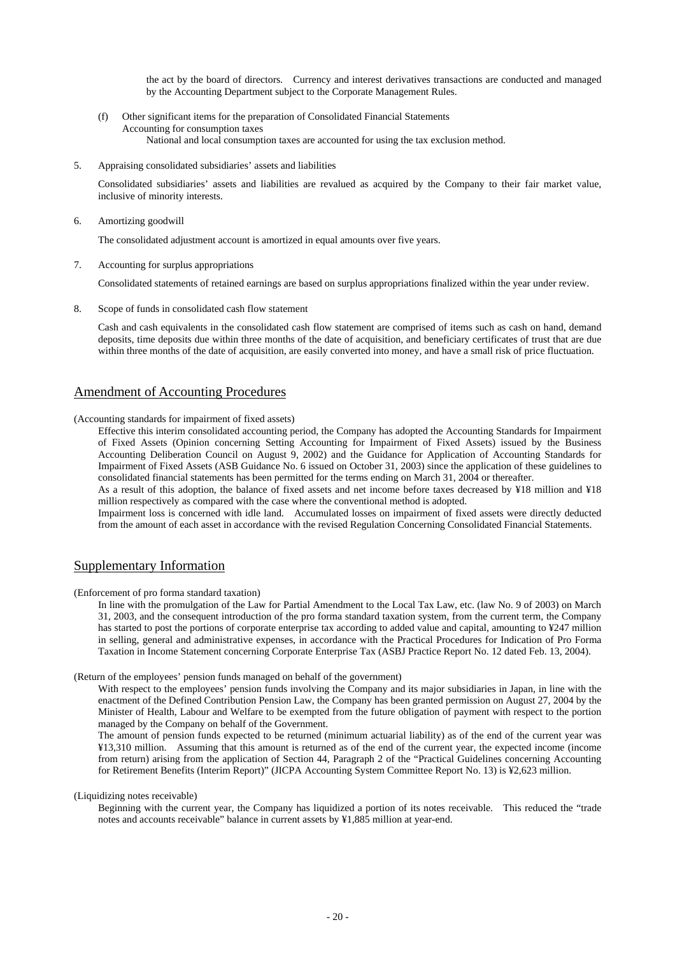the act by the board of directors. Currency and interest derivatives transactions are conducted and managed by the Accounting Department subject to the Corporate Management Rules.

- (f) Other significant items for the preparation of Consolidated Financial Statements Accounting for consumption taxes National and local consumption taxes are accounted for using the tax exclusion method.
- 5. Appraising consolidated subsidiaries' assets and liabilities

Consolidated subsidiaries' assets and liabilities are revalued as acquired by the Company to their fair market value, inclusive of minority interests.

6. Amortizing goodwill

The consolidated adjustment account is amortized in equal amounts over five years.

7. Accounting for surplus appropriations

Consolidated statements of retained earnings are based on surplus appropriations finalized within the year under review.

8. Scope of funds in consolidated cash flow statement

Cash and cash equivalents in the consolidated cash flow statement are comprised of items such as cash on hand, demand deposits, time deposits due within three months of the date of acquisition, and beneficiary certificates of trust that are due within three months of the date of acquisition, are easily converted into money, and have a small risk of price fluctuation.

# Amendment of Accounting Procedures

(Accounting standards for impairment of fixed assets)

Effective this interim consolidated accounting period, the Company has adopted the Accounting Standards for Impairment of Fixed Assets (Opinion concerning Setting Accounting for Impairment of Fixed Assets) issued by the Business Accounting Deliberation Council on August 9, 2002) and the Guidance for Application of Accounting Standards for Impairment of Fixed Assets (ASB Guidance No. 6 issued on October 31, 2003) since the application of these guidelines to consolidated financial statements has been permitted for the terms ending on March 31, 2004 or thereafter.

As a result of this adoption, the balance of fixed assets and net income before taxes decreased by ¥18 million and ¥18 million respectively as compared with the case where the conventional method is adopted.

Impairment loss is concerned with idle land. Accumulated losses on impairment of fixed assets were directly deducted from the amount of each asset in accordance with the revised Regulation Concerning Consolidated Financial Statements.

### Supplementary Information

(Enforcement of pro forma standard taxation)

In line with the promulgation of the Law for Partial Amendment to the Local Tax Law, etc. (law No. 9 of 2003) on March 31, 2003, and the consequent introduction of the pro forma standard taxation system, from the current term, the Company has started to post the portions of corporate enterprise tax according to added value and capital, amounting to ¥247 million in selling, general and administrative expenses, in accordance with the Practical Procedures for Indication of Pro Forma Taxation in Income Statement concerning Corporate Enterprise Tax (ASBJ Practice Report No. 12 dated Feb. 13, 2004).

(Return of the employees' pension funds managed on behalf of the government)

With respect to the employees' pension funds involving the Company and its major subsidiaries in Japan, in line with the enactment of the Defined Contribution Pension Law, the Company has been granted permission on August 27, 2004 by the Minister of Health, Labour and Welfare to be exempted from the future obligation of payment with respect to the portion managed by the Company on behalf of the Government.

The amount of pension funds expected to be returned (minimum actuarial liability) as of the end of the current year was ¥13,310 million. Assuming that this amount is returned as of the end of the current year, the expected income (income from return) arising from the application of Section 44, Paragraph 2 of the "Practical Guidelines concerning Accounting for Retirement Benefits (Interim Report)" (JICPA Accounting System Committee Report No. 13) is ¥2,623 million.

(Liquidizing notes receivable)

Beginning with the current year, the Company has liquidized a portion of its notes receivable. This reduced the "trade notes and accounts receivable" balance in current assets by ¥1,885 million at year-end.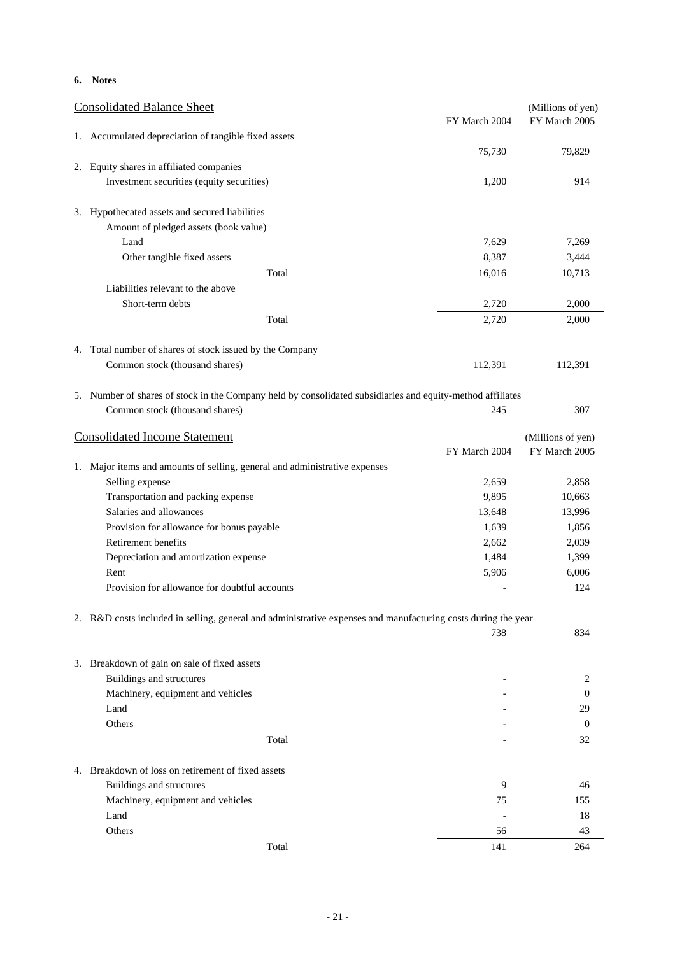### **6. Notes**

|    | <b>Consolidated Balance Sheet</b>                                                                             | FY March 2004  | (Millions of yen)<br>FY March 2005 |
|----|---------------------------------------------------------------------------------------------------------------|----------------|------------------------------------|
|    | 1. Accumulated depreciation of tangible fixed assets                                                          |                |                                    |
|    |                                                                                                               | 75,730         | 79,829                             |
| 2. | Equity shares in affiliated companies                                                                         |                |                                    |
|    | Investment securities (equity securities)                                                                     | 1,200          | 914                                |
|    |                                                                                                               |                |                                    |
|    | 3. Hypothecated assets and secured liabilities<br>Amount of pledged assets (book value)                       |                |                                    |
|    | Land                                                                                                          |                |                                    |
|    | Other tangible fixed assets                                                                                   | 7,629<br>8,387 | 7,269                              |
|    |                                                                                                               |                | 3,444                              |
|    | Total<br>Liabilities relevant to the above                                                                    | 16,016         | 10,713                             |
|    |                                                                                                               |                |                                    |
|    | Short-term debts                                                                                              | 2,720          | 2,000                              |
|    | Total                                                                                                         | 2,720          | 2,000                              |
|    | 4. Total number of shares of stock issued by the Company                                                      |                |                                    |
|    | Common stock (thousand shares)                                                                                | 112,391        | 112,391                            |
|    |                                                                                                               |                |                                    |
|    | 5. Number of shares of stock in the Company held by consolidated subsidiaries and equity-method affiliates    |                |                                    |
|    | Common stock (thousand shares)                                                                                | 245            | 307                                |
|    | <b>Consolidated Income Statement</b>                                                                          |                | (Millions of yen)                  |
|    |                                                                                                               | FY March 2004  | FY March 2005                      |
|    | 1. Major items and amounts of selling, general and administrative expenses                                    |                |                                    |
|    | Selling expense                                                                                               | 2,659          | 2,858                              |
|    | Transportation and packing expense                                                                            | 9,895          | 10,663                             |
|    | Salaries and allowances                                                                                       | 13,648         | 13,996                             |
|    | Provision for allowance for bonus payable                                                                     | 1,639          | 1,856                              |
|    | Retirement benefits                                                                                           | 2,662          | 2,039                              |
|    | Depreciation and amortization expense                                                                         | 1,484          | 1,399                              |
|    | Rent                                                                                                          | 5,906          | 6,006                              |
|    | Provision for allowance for doubtful accounts                                                                 |                | 124                                |
|    |                                                                                                               |                |                                    |
|    | 2. R&D costs included in selling, general and administrative expenses and manufacturing costs during the year |                |                                    |
|    |                                                                                                               | 738            | 834                                |
|    | 3. Breakdown of gain on sale of fixed assets                                                                  |                |                                    |
|    | <b>Buildings and structures</b>                                                                               |                | 2                                  |
|    | Machinery, equipment and vehicles                                                                             |                | $\overline{0}$                     |
|    | Land                                                                                                          |                | 29                                 |
|    | Others                                                                                                        |                | 0                                  |
|    | Total                                                                                                         |                | 32                                 |
|    |                                                                                                               |                |                                    |
|    | 4. Breakdown of loss on retirement of fixed assets                                                            |                |                                    |
|    | <b>Buildings and structures</b>                                                                               | 9              | 46                                 |
|    | Machinery, equipment and vehicles                                                                             | 75             | 155                                |
|    | Land                                                                                                          |                | 18                                 |
|    | Others                                                                                                        | 56             | 43                                 |
|    | Total                                                                                                         | 141            | 264                                |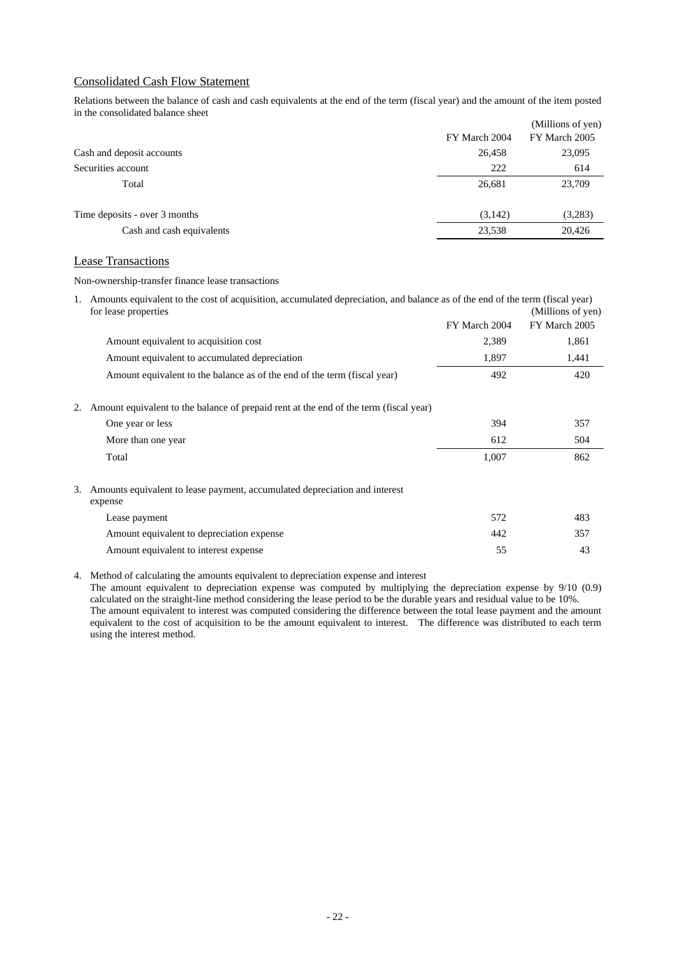### Consolidated Cash Flow Statement

Relations between the balance of cash and cash equivalents at the end of the term (fiscal year) and the amount of the item posted in the consolidated balance sheet

|                               |               | (Millions of yen) |
|-------------------------------|---------------|-------------------|
|                               | FY March 2004 | FY March 2005     |
| Cash and deposit accounts     | 26,458        | 23,095            |
| Securities account            | 222           | 614               |
| Total                         | 26,681        | 23,709            |
| Time deposits - over 3 months | (3,142)       | (3,283)           |
| Cash and cash equivalents     | 23,538        | 20,426            |

### Lease Transactions

Non-ownership-transfer finance lease transactions

| 1. Amounts equivalent to the cost of acquisition, accumulated depreciation, and balance as of the end of the term (fiscal year)<br>for lease properties<br>(Millions of yen) |               |               |  |  |
|------------------------------------------------------------------------------------------------------------------------------------------------------------------------------|---------------|---------------|--|--|
|                                                                                                                                                                              | FY March 2004 | FY March 2005 |  |  |
| Amount equivalent to acquisition cost                                                                                                                                        | 2,389         | 1,861         |  |  |
| Amount equivalent to accumulated depreciation                                                                                                                                | 1,897         | 1,441         |  |  |
| Amount equivalent to the balance as of the end of the term (fiscal year)                                                                                                     | 492           | 420           |  |  |
| Amount equivalent to the balance of prepaid rent at the end of the term (fiscal year)                                                                                        |               |               |  |  |
| One year or less                                                                                                                                                             | 394           | 357           |  |  |
| More than one year                                                                                                                                                           | 612           | 504           |  |  |
| Total                                                                                                                                                                        | 1,007         | 862           |  |  |
| Amounts equivalent to lease payment, accumulated depreciation and interest<br>expense                                                                                        |               |               |  |  |
| Lease payment                                                                                                                                                                | 572           | 483           |  |  |
| Amount equivalent to depreciation expense                                                                                                                                    | 442           | 357           |  |  |
| Amount equivalent to interest expense                                                                                                                                        | 55            | 43            |  |  |

4. Method of calculating the amounts equivalent to depreciation expense and interest

The amount equivalent to depreciation expense was computed by multiplying the depreciation expense by 9/10 (0.9) calculated on the straight-line method considering the lease period to be the durable years and residual value to be 10%. The amount equivalent to interest was computed considering the difference between the total lease payment and the amount equivalent to the cost of acquisition to be the amount equivalent to interest. The difference was distributed to each term using the interest method.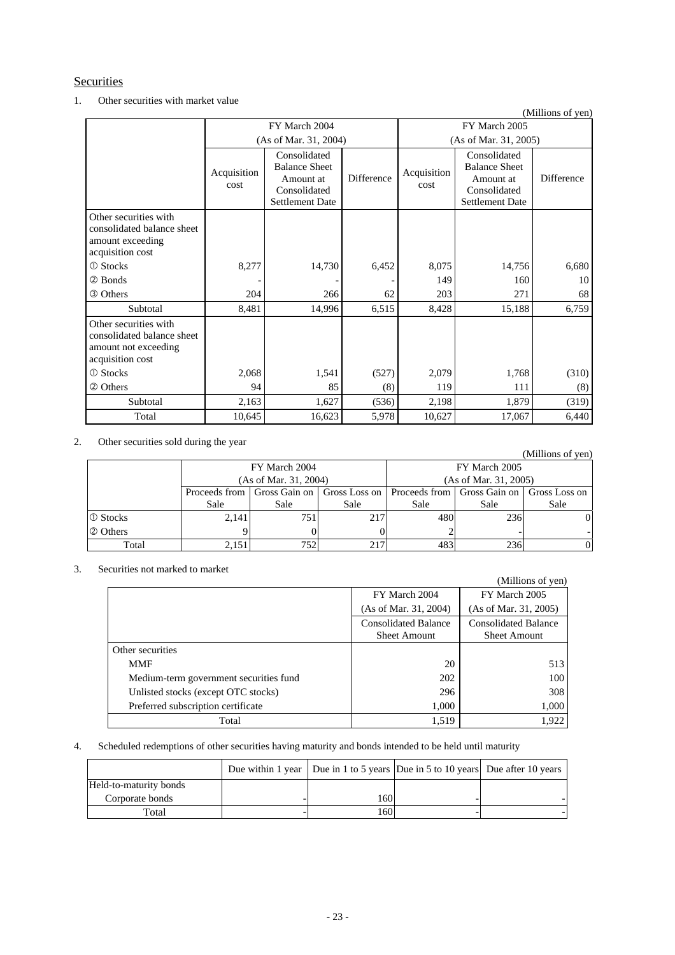### **Securities**

### 1. Other securities with market value

|                                                                                                 |                     |                                                                                             |                   |                     |                                                                                             | (Millions of yen) |  |
|-------------------------------------------------------------------------------------------------|---------------------|---------------------------------------------------------------------------------------------|-------------------|---------------------|---------------------------------------------------------------------------------------------|-------------------|--|
|                                                                                                 |                     | FY March 2004                                                                               |                   | FY March 2005       |                                                                                             |                   |  |
|                                                                                                 |                     | (As of Mar. 31, 2004)                                                                       |                   |                     | (As of Mar. 31, 2005)                                                                       |                   |  |
|                                                                                                 | Acquisition<br>cost | Consolidated<br><b>Balance Sheet</b><br>Amount at<br>Consolidated<br><b>Settlement Date</b> | <b>Difference</b> | Acquisition<br>cost | Consolidated<br><b>Balance Sheet</b><br>Amount at<br>Consolidated<br><b>Settlement Date</b> | Difference        |  |
| Other securities with<br>consolidated balance sheet<br>amount exceeding<br>acquisition cost     |                     |                                                                                             |                   |                     |                                                                                             |                   |  |
| <b>① Stocks</b>                                                                                 | 8,277               | 14,730                                                                                      | 6,452             | 8,075               | 14,756                                                                                      | 6,680             |  |
| 2 Bonds                                                                                         |                     |                                                                                             |                   | 149                 | 160                                                                                         | 10                |  |
| <b>3 Others</b>                                                                                 | 204                 | 266                                                                                         | 62                | 203                 | 271                                                                                         | 68                |  |
| Subtotal                                                                                        | 8,481               | 14,996                                                                                      | 6,515             | 8,428               | 15,188                                                                                      | 6,759             |  |
| Other securities with<br>consolidated balance sheet<br>amount not exceeding<br>acquisition cost |                     |                                                                                             |                   |                     |                                                                                             |                   |  |
| <b>① Stocks</b>                                                                                 | 2,068               | 1,541                                                                                       | (527)             | 2,079               | 1,768                                                                                       | (310)             |  |
| 2 Others                                                                                        | 94                  | 85                                                                                          | (8)               | 119                 | 111                                                                                         | (8)               |  |
| Subtotal                                                                                        | 2,163               | 1,627                                                                                       | (536)             | 2,198               | 1,879                                                                                       | (319)             |  |
| Total                                                                                           | 10,645              | 16,623                                                                                      | 5,978             | 10,627              | 17,067                                                                                      | 6,440             |  |

### 2. Other securities sold during the year

|                 |               |                       |               |                             |      | (Millions of yen) |  |
|-----------------|---------------|-----------------------|---------------|-----------------------------|------|-------------------|--|
|                 |               | FY March 2004         |               | FY March 2005               |      |                   |  |
|                 |               | (As of Mar. 31, 2004) |               | (As of Mar. 31, 2005)       |      |                   |  |
|                 | Proceeds from | Gross Gain on 1       | Gross Loss on | Proceeds from Gross Gain on |      | Gross Loss on     |  |
|                 | Sale          | Sale                  | Sale          | Sale                        | Sale | Sale              |  |
| <b>1</b> Stocks | 2,141         | 751                   | 217           | 480                         | 236  | ÛI                |  |
| 2 Others        |               |                       |               |                             |      |                   |  |
| Total           | 2,151         | 752                   | 217           | 483                         | 236  |                   |  |

### 3. Securities not marked to market

| curilles noi markeu to market          |                                                    | (Millions of yen)                                  |
|----------------------------------------|----------------------------------------------------|----------------------------------------------------|
|                                        | FY March 2004                                      | FY March 2005                                      |
|                                        | (As of Mar. 31, 2004)                              | (As of Mar. 31, 2005)                              |
|                                        | <b>Consolidated Balance</b><br><b>Sheet Amount</b> | <b>Consolidated Balance</b><br><b>Sheet Amount</b> |
| Other securities                       |                                                    |                                                    |
| <b>MMF</b>                             | 20                                                 | 513                                                |
| Medium-term government securities fund | 202                                                | 100                                                |
| Unlisted stocks (except OTC stocks)    | 296                                                | 308                                                |
| Preferred subscription certificate     | 1,000                                              | 1,000                                              |
| Total                                  | 1,519                                              | 1,922                                              |

# 4. Scheduled redemptions of other securities having maturity and bonds intended to be held until maturity

|                        |      | Due within 1 year   Due in 1 to 5 years   Due in 5 to 10 years   Due after 10 years |  |
|------------------------|------|-------------------------------------------------------------------------------------|--|
| Held-to-maturity bonds |      |                                                                                     |  |
| Corporate bonds        | 160. |                                                                                     |  |
| Total                  | 1601 |                                                                                     |  |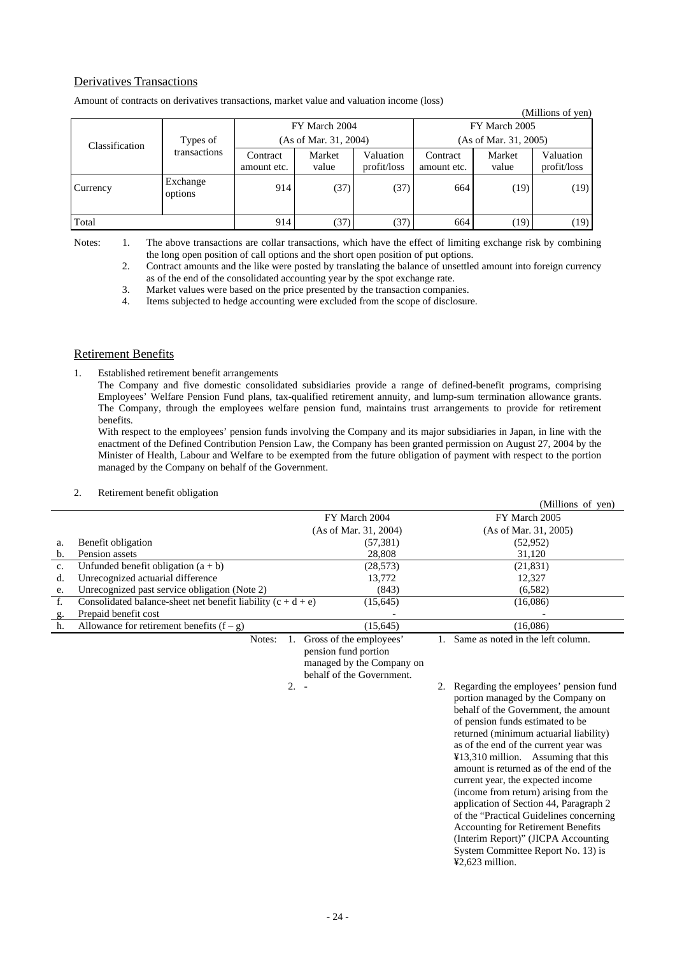## Derivatives Transactions

|                |                          |                         |                       |                          |                         |                 | (Millions of yen)        |  |
|----------------|--------------------------|-------------------------|-----------------------|--------------------------|-------------------------|-----------------|--------------------------|--|
|                | Types of<br>transactions |                         | FY March 2004         |                          | FY March 2005           |                 |                          |  |
| Classification |                          |                         | (As of Mar. 31, 2004) |                          | (As of Mar. 31, 2005)   |                 |                          |  |
|                |                          | Contract<br>amount etc. | Market<br>value       | Valuation<br>profit/loss | Contract<br>amount etc. | Market<br>value | Valuation<br>profit/loss |  |
| Currency       | Exchange<br>options      | 914                     | (37)                  | (37)                     | 664                     | (19)            | (19)                     |  |
| Total          |                          | 914                     | (37)                  | (37)                     | 664                     | (19)            | (19)                     |  |

Amount of contracts on derivatives transactions, market value and valuation income (loss)

Notes: 1. The above transactions are collar transactions, which have the effect of limiting exchange risk by combining the long open position of call options and the short open position of put options.

 2. Contract amounts and the like were posted by translating the balance of unsettled amount into foreign currency as of the end of the consolidated accounting year by the spot exchange rate.

3. Market values were based on the price presented by the transaction companies.

4. Items subjected to hedge accounting were excluded from the scope of disclosure.

### Retirement Benefits

1. Established retirement benefit arrangements

The Company and five domestic consolidated subsidiaries provide a range of defined-benefit programs, comprising Employees' Welfare Pension Fund plans, tax-qualified retirement annuity, and lump-sum termination allowance grants. The Company, through the employees welfare pension fund, maintains trust arrangements to provide for retirement benefits.

With respect to the employees' pension funds involving the Company and its major subsidiaries in Japan, in line with the enactment of the Defined Contribution Pension Law, the Company has been granted permission on August 27, 2004 by the Minister of Health, Labour and Welfare to be exempted from the future obligation of payment with respect to the portion managed by the Company on behalf of the Government.

- 2. Retirement benefit obligation (Millions of yen) FY March 2004 (As of Mar. 31, 2004) FY March 2005 (As of Mar. 31, 2005) a. Benefit obligation (57,381) (52,952)<br>b. Pension assets 28.808 31.120 b. Pension assets c. Unfunded benefit obligation  $(a + b)$  (28,573) (21,831)<br>d. Unrecognized actuarial difference 13,772 12,327 d. Unrecognized actuarial difference 13,772 12,327<br>
e. Unrecognized past service obligation (Note 2) (843) (6.582) e. Unrecognized past service obligation (Note 2) f. Consolidated balance-sheet net benefit liability  $(c + d + e)$  (15,645) (16,086) g. Prepaid benefit cost h. Allowance for retirement benefits  $(f - g)$  (15,645) (16,086) Notes: 1. Gross of the employees' pension fund portion managed by the Company on behalf of the Government. 1. Same as noted in the left column.
	-

 2. - 2. Regarding the employees' pension fund portion managed by the Company on behalf of the Government, the amount of pension funds estimated to be returned (minimum actuarial liability) as of the end of the current year was ¥13,310 million. Assuming that this amount is returned as of the end of the current year, the expected income (income from return) arising from the application of Section 44, Paragraph 2 of the "Practical Guidelines concerning Accounting for Retirement Benefits (Interim Report)" (JICPA Accounting System Committee Report No. 13) is ¥2,623 million.

 $\alpha$  and  $\gamma$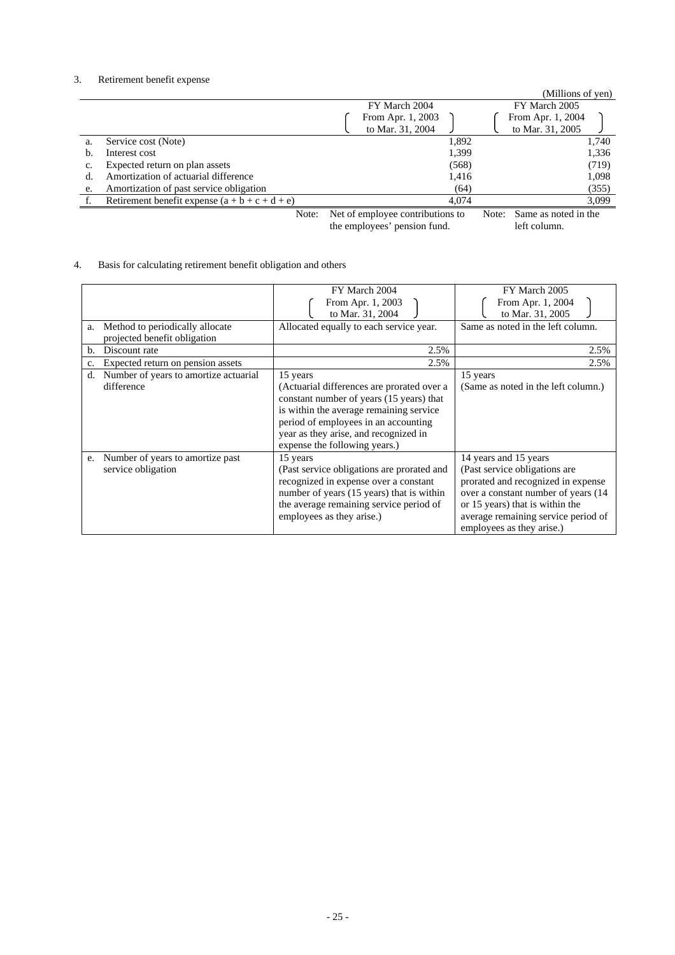### 3. Retirement benefit expense

|    |                                                  |                   |       | (Millions of yen) |       |
|----|--------------------------------------------------|-------------------|-------|-------------------|-------|
|    |                                                  | FY March 2004     |       | FY March 2005     |       |
|    |                                                  | From Apr. 1, 2003 |       | From Apr. 1, 2004 |       |
|    |                                                  | to Mar. 31, 2004  |       | to Mar. 31, 2005  |       |
| a. | Service cost (Note)                              |                   | 1,892 |                   | 1,740 |
| b. | Interest cost                                    |                   | 1,399 |                   | 1,336 |
| c. | Expected return on plan assets                   |                   | (568) |                   | (719) |
|    | Amortization of actuarial difference             |                   | 1,416 |                   | 1,098 |
| e. | Amortization of past service obligation          |                   | (64)  |                   | (355) |
|    | Retirement benefit expense $(a + b + c + d + e)$ |                   | 4.074 |                   | 3,099 |

 Note: Net of employee contributions to the employees' pension fund.

Note: Same as noted in the left column.

### 4. Basis for calculating retirement benefit obligation and others

|    |                                       | FY March 2004                              | FY March 2005                       |  |  |  |
|----|---------------------------------------|--------------------------------------------|-------------------------------------|--|--|--|
|    |                                       | From Apr. 1, 2003                          | From Apr. 1, 2004                   |  |  |  |
|    |                                       | to Mar. 31, 2004                           | to Mar. 31, 2005                    |  |  |  |
| a. | Method to periodically allocate       | Allocated equally to each service year.    | Same as noted in the left column.   |  |  |  |
|    | projected benefit obligation          |                                            |                                     |  |  |  |
| b. | Discount rate                         | 2.5%                                       | 2.5%                                |  |  |  |
| c. | Expected return on pension assets     | 2.5%                                       | 2.5%                                |  |  |  |
| d. | Number of years to amortize actuarial | 15 years                                   | 15 years                            |  |  |  |
|    | difference                            | (Actuarial differences are prorated over a | (Same as noted in the left column.) |  |  |  |
|    |                                       | constant number of years (15 years) that   |                                     |  |  |  |
|    |                                       | is within the average remaining service    |                                     |  |  |  |
|    |                                       | period of employees in an accounting       |                                     |  |  |  |
|    |                                       | year as they arise, and recognized in      |                                     |  |  |  |
|    |                                       | expense the following years.)              |                                     |  |  |  |
| e. | Number of years to amortize past      | 15 years                                   | 14 years and 15 years               |  |  |  |
|    | service obligation                    | (Past service obligations are prorated and | (Past service obligations are       |  |  |  |
|    |                                       | recognized in expense over a constant      | prorated and recognized in expense  |  |  |  |
|    |                                       | number of years (15 years) that is within  | over a constant number of years (14 |  |  |  |
|    |                                       | the average remaining service period of    | or 15 years) that is within the     |  |  |  |
|    |                                       | employees as they arise.)                  | average remaining service period of |  |  |  |
|    |                                       |                                            | employees as they arise.)           |  |  |  |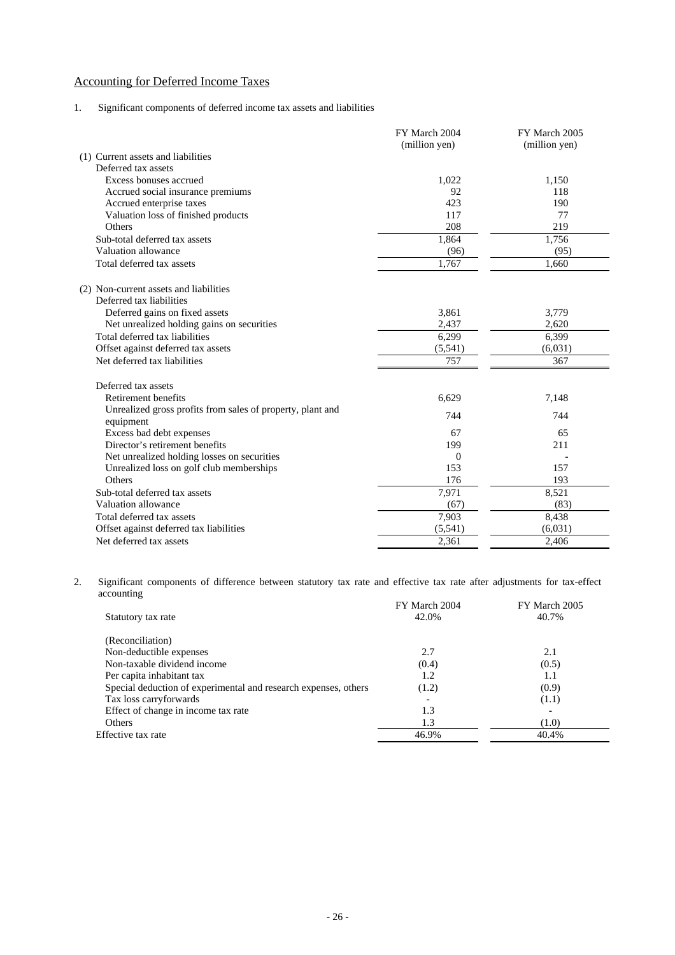# Accounting for Deferred Income Taxes

### 1. Significant components of deferred income tax assets and liabilities

|                                                                         | FY March 2004<br>(million yen) | FY March 2005<br>(million yen) |
|-------------------------------------------------------------------------|--------------------------------|--------------------------------|
| (1) Current assets and liabilities                                      |                                |                                |
| Deferred tax assets                                                     |                                |                                |
| Excess bonuses accrued                                                  | 1,022                          | 1,150                          |
| Accrued social insurance premiums                                       | 92                             | 118                            |
| Accrued enterprise taxes                                                | 423                            | 190                            |
| Valuation loss of finished products                                     | 117                            | 77                             |
| <b>Others</b>                                                           | 208                            | 219                            |
| Sub-total deferred tax assets                                           | 1,864                          | 1,756                          |
| Valuation allowance                                                     | (96)                           | (95)                           |
| Total deferred tax assets                                               | 1.767                          | 1.660                          |
| (2) Non-current assets and liabilities<br>Deferred tax liabilities      |                                |                                |
| Deferred gains on fixed assets                                          | 3,861                          | 3,779                          |
| Net unrealized holding gains on securities                              | 2,437                          | 2,620                          |
| Total deferred tax liabilities                                          | 6,299                          | 6,399                          |
| Offset against deferred tax assets                                      | (5,541)                        | (6,031)                        |
| Net deferred tax liabilities                                            | 757                            | 367                            |
| Deferred tax assets                                                     |                                |                                |
| Retirement benefits                                                     | 6,629                          | 7,148                          |
| Unrealized gross profits from sales of property, plant and<br>equipment | 744                            | 744                            |
| Excess bad debt expenses                                                | 67                             | 65                             |
| Director's retirement benefits                                          | 199                            | 211                            |
| Net unrealized holding losses on securities                             | $\Omega$                       |                                |
| Unrealized loss on golf club memberships                                | 153                            | 157                            |
| Others                                                                  | 176                            | 193                            |
| Sub-total deferred tax assets                                           | 7,971                          | 8,521                          |
| Valuation allowance                                                     | (67)                           | (83)                           |
| Total deferred tax assets                                               | 7,903                          | 8,438                          |
| Offset against deferred tax liabilities                                 | (5, 541)                       | (6,031)                        |
| Net deferred tax assets                                                 | 2,361                          | 2,406                          |

2. Significant components of difference between statutory tax rate and effective tax rate after adjustments for tax-effect accounting

| Statutory tax rate                                              | FY March 2004<br>42.0% | FY March 2005<br>40.7% |
|-----------------------------------------------------------------|------------------------|------------------------|
| (Reconciliation)                                                |                        |                        |
| Non-deductible expenses                                         | 2.7                    | 2.1                    |
| Non-taxable dividend income                                     | (0.4)                  | (0.5)                  |
| Per capita inhabitant tax                                       | 1.2                    | 1.1                    |
| Special deduction of experimental and research expenses, others | (1.2)                  | (0.9)                  |
| Tax loss carryforwards                                          |                        | (1.1)                  |
| Effect of change in income tax rate                             | 1.3                    |                        |
| <b>Others</b>                                                   | 1.3                    | (1.0)                  |
| Effective tax rate                                              | 46.9%                  | 40.4%                  |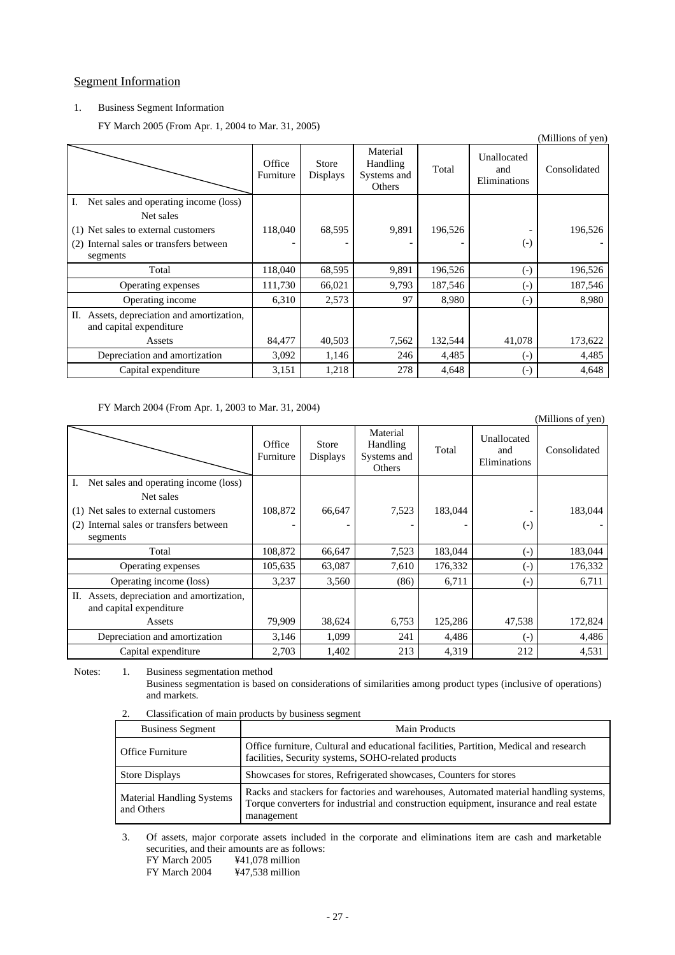### Segment Information

### 1. Business Segment Information

FY March 2005 (From Apr. 1, 2004 to Mar. 31, 2005)

| $\frac{1}{2}$ . Thurch 2009 (110m ripr. 1, 200 r to mun. 91, 2009)      |                     |                          |                                               |         |                                    | (Millions of yen) |
|-------------------------------------------------------------------------|---------------------|--------------------------|-----------------------------------------------|---------|------------------------------------|-------------------|
|                                                                         | Office<br>Furniture | <b>Store</b><br>Displays | Material<br>Handling<br>Systems and<br>Others | Total   | Unallocated<br>and<br>Eliminations | Consolidated      |
| Net sales and operating income (loss)<br>Net sales                      |                     |                          |                                               |         |                                    |                   |
| (1) Net sales to external customers                                     | 118,040             | 68,595                   | 9,891                                         | 196,526 |                                    | 196,526           |
| (2) Internal sales or transfers between<br>segments                     |                     |                          |                                               |         | $\left( -\right)$                  |                   |
| Total                                                                   | 118,040             | 68,595                   | 9,891                                         | 196,526 | $\left( -\right)$                  | 196,526           |
| Operating expenses                                                      | 111,730             | 66,021                   | 9,793                                         | 187,546 | $\left( -\right)$                  | 187,546           |
| Operating income                                                        | 6,310               | 2,573                    | 97                                            | 8,980   | $\left( -\right)$                  | 8,980             |
| Assets, depreciation and amortization,<br>П.<br>and capital expenditure |                     |                          |                                               |         |                                    |                   |
| Assets                                                                  | 84,477              | 40,503                   | 7,562                                         | 132,544 | 41,078                             | 173,622           |
| Depreciation and amortization                                           | 3,092               | 1,146                    | 246                                           | 4,485   | $\left( -\right)$                  | 4,485             |
| Capital expenditure                                                     | 3,151               | 1,218                    | 278                                           | 4,648   | $\left( -\right)$                  | 4,648             |

### FY March 2004 (From Apr. 1, 2003 to Mar. 31, 2004)

|                                                                         |                     |                          |                                               |         |                                    | (Millions of yen) |
|-------------------------------------------------------------------------|---------------------|--------------------------|-----------------------------------------------|---------|------------------------------------|-------------------|
|                                                                         | Office<br>Furniture | <b>Store</b><br>Displays | Material<br>Handling<br>Systems and<br>Others | Total   | Unallocated<br>and<br>Eliminations | Consolidated      |
| Net sales and operating income (loss)                                   |                     |                          |                                               |         |                                    |                   |
| Net sales                                                               |                     |                          |                                               |         |                                    |                   |
| Net sales to external customers<br>(1)                                  | 108,872             | 66,647                   | 7,523                                         | 183,044 |                                    | 183,044           |
| Internal sales or transfers between<br>(2)<br>segments                  |                     |                          |                                               |         | $\left( -\right)$                  |                   |
| Total                                                                   | 108,872             | 66,647                   | 7,523                                         | 183,044 | $(-)$                              | 183,044           |
| Operating expenses                                                      | 105,635             | 63,087                   | 7,610                                         | 176,332 | $\left( -\right)$                  | 176,332           |
| Operating income (loss)                                                 | 3,237               | 3,560                    | (86)                                          | 6,711   | $\left( -\right)$                  | 6,711             |
| Assets, depreciation and amortization,<br>П.<br>and capital expenditure |                     |                          |                                               |         |                                    |                   |
| Assets                                                                  | 79,909              | 38,624                   | 6,753                                         | 125,286 | 47,538                             | 172,824           |
| Depreciation and amortization                                           | 3,146               | 1,099                    | 241                                           | 4,486   | $(-)$                              | 4,486             |
| Capital expenditure                                                     | 2,703               | 1,402                    | 213                                           | 4,319   | 212                                | 4,531             |

Notes: 1. Business segmentation method

Business segmentation is based on considerations of similarities among product types (inclusive of operations) and markets.

### 2. Classification of main products by business segment

| <b>Business Segment</b>                 | Main Products                                                                                                                                                                                 |
|-----------------------------------------|-----------------------------------------------------------------------------------------------------------------------------------------------------------------------------------------------|
| <b>Office Furniture</b>                 | Office furniture, Cultural and educational facilities, Partition, Medical and research<br>facilities, Security systems, SOHO-related products                                                 |
| <b>Store Displays</b>                   | Showcases for stores, Refrigerated showcases, Counters for stores                                                                                                                             |
| Material Handling Systems<br>and Others | Racks and stackers for factories and warehouses, Automated material handling systems,<br>Torque converters for industrial and construction equipment, insurance and real estate<br>management |

 3. Of assets, major corporate assets included in the corporate and eliminations item are cash and marketable securities, and their amounts are as follows:<br>FY March 2005  $\text{\#41,078}$  million ¥41,078 million FY March 2004 ¥47,538 million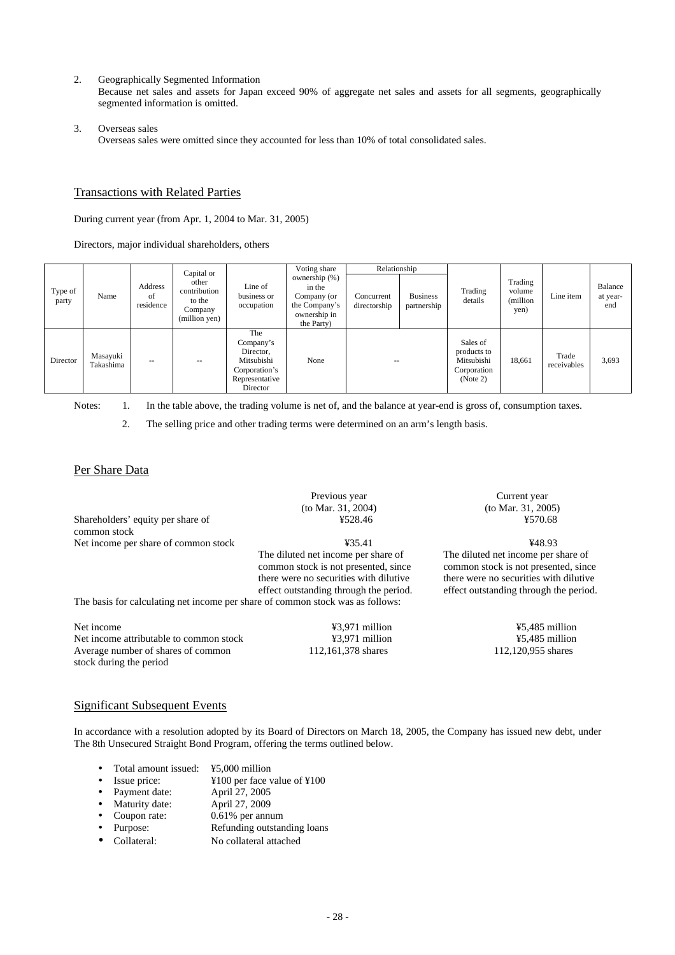2. Geographically Segmented Information

Because net sales and assets for Japan exceed 90% of aggregate net sales and assets for all segments, geographically segmented information is omitted.

3. Overseas sales

Overseas sales were omitted since they accounted for less than 10% of total consolidated sales.

### Transactions with Related Parties

During current year (from Apr. 1, 2004 to Mar. 31, 2005)

Directors, major individual shareholders, others

| Type of<br>party | Name                  | Address<br>of<br>residence | Capital or<br>other<br>contribution<br>to the<br>Company<br>(million yen) | Line of<br>business or<br>occupation                                                       | Voting share<br>ownership (%)<br>in the<br>Company (or<br>the Company's<br>ownership in<br>the Party) | Relationship<br>Concurrent<br>directorship | <b>Business</b><br>partnership | Trading<br>details                                               | Trading<br>volume<br>(million)<br>yen) | Line item            | Balance<br>at year-<br>end |
|------------------|-----------------------|----------------------------|---------------------------------------------------------------------------|--------------------------------------------------------------------------------------------|-------------------------------------------------------------------------------------------------------|--------------------------------------------|--------------------------------|------------------------------------------------------------------|----------------------------------------|----------------------|----------------------------|
| Director         | Masayuki<br>Takashima |                            |                                                                           | The<br>Company's<br>Director.<br>Mitsubishi<br>Corporation's<br>Representative<br>Director | None                                                                                                  | $- -$                                      |                                | Sales of<br>products to<br>Mitsubishi<br>Corporation<br>(Note 2) | 18,661                                 | Trade<br>receivables | 3,693                      |

Notes: 1. In the table above, the trading volume is net of, and the balance at year-end is gross of, consumption taxes.

2. The selling price and other trading terms were determined on an arm's length basis.

### Per Share Data

|                                                                                | (to Mar. 31, 2004)                                                                                                                                              | (to Mar. 31, 2005)                                                                                                                                              |  |  |
|--------------------------------------------------------------------------------|-----------------------------------------------------------------------------------------------------------------------------------------------------------------|-----------------------------------------------------------------------------------------------------------------------------------------------------------------|--|--|
| Shareholders' equity per share of                                              | ¥528.46                                                                                                                                                         | ¥570.68                                                                                                                                                         |  |  |
| common stock                                                                   |                                                                                                                                                                 |                                                                                                                                                                 |  |  |
| Net income per share of common stock                                           | 435.41                                                                                                                                                          | ¥48.93                                                                                                                                                          |  |  |
| The basis for calculating net income per share of common stock was as follows: | The diluted net income per share of<br>common stock is not presented, since<br>there were no securities with dilutive<br>effect outstanding through the period. | The diluted net income per share of<br>common stock is not presented, since<br>there were no securities with dilutive<br>effect outstanding through the period. |  |  |
| Net income                                                                     | ¥3,971 million                                                                                                                                                  | ¥5,485 million                                                                                                                                                  |  |  |
|                                                                                |                                                                                                                                                                 |                                                                                                                                                                 |  |  |
| Net income attributable to common stock                                        | ¥3,971 million                                                                                                                                                  | $45,485$ million                                                                                                                                                |  |  |
| Average number of shares of common                                             | 112,161,378 shares                                                                                                                                              | 112,120,955 shares                                                                                                                                              |  |  |

Previous year

Current year

### Significant Subsequent Events

Average number of shares of common

stock during the period

In accordance with a resolution adopted by its Board of Directors on March 18, 2005, the Company has issued new debt, under The 8th Unsecured Straight Bond Program, offering the terms outlined below.

| Total amount issued: | ¥5,000 million                                                        |
|----------------------|-----------------------------------------------------------------------|
| Issue price:         | $\text{\textsterling}100$ per face value of $\text{\textsterling}100$ |
| Payment date:        | April 27, 2005                                                        |
| Maturity date:       | April 27, 2009                                                        |
| Coupon rate:         | $0.61\%$ per annum                                                    |
| Purpose:             | Refunding outstanding loans                                           |
| Collateral:          | No collateral attached                                                |